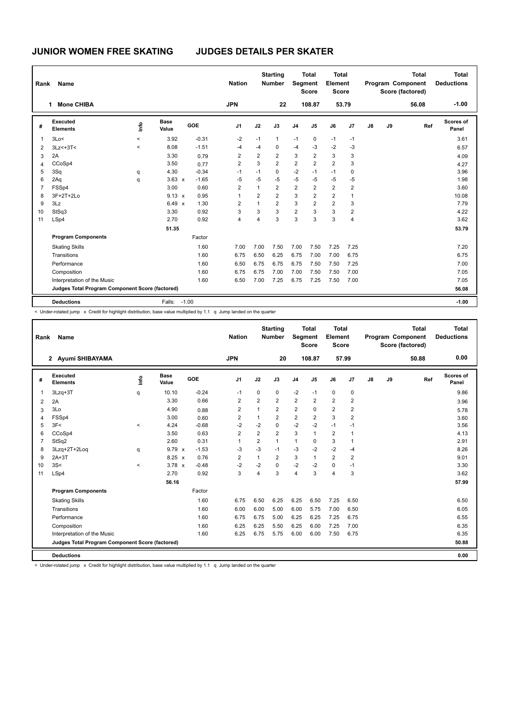| Rank           | Name                                            |                          |                      |         | <b>Nation</b>  |                | <b>Starting</b><br><b>Number</b> | Segment        | <b>Total</b><br><b>Score</b> | <b>Total</b><br>Element<br><b>Score</b> |                |    |    | <b>Total</b><br>Program Component<br>Score (factored) | <b>Total</b><br><b>Deductions</b> |
|----------------|-------------------------------------------------|--------------------------|----------------------|---------|----------------|----------------|----------------------------------|----------------|------------------------------|-----------------------------------------|----------------|----|----|-------------------------------------------------------|-----------------------------------|
|                | <b>Mone CHIBA</b><br>1                          |                          |                      |         | <b>JPN</b>     |                | 22                               |                | 108.87                       |                                         | 53.79          |    |    | 56.08                                                 | $-1.00$                           |
| #              | <b>Executed</b><br><b>Elements</b>              | ١m                       | <b>Base</b><br>Value | GOE     | J <sub>1</sub> | J2             | J3                               | J <sub>4</sub> | J <sub>5</sub>               | J6                                      | J <sub>7</sub> | J8 | J9 | Ref                                                   | Scores of<br>Panel                |
| 1              | 3Lo<                                            | $\overline{\phantom{0}}$ | 3.92                 | $-0.31$ | $-2$           | $-1$           | $\mathbf{1}$                     | $-1$           | $\mathbf 0$                  | $-1$                                    | $-1$           |    |    |                                                       | 3.61                              |
| 2              | $3Lz<+3T<$                                      | $\overline{\phantom{0}}$ | 8.08                 | $-1.51$ | $-4$           | $-4$           | 0                                | $-4$           | $-3$                         | $-2$                                    | $-3$           |    |    |                                                       | 6.57                              |
| 3              | 2A                                              |                          | 3.30                 | 0.79    | $\overline{2}$ | $\overline{2}$ | $\overline{2}$                   | 3              | $\overline{2}$               | 3                                       | 3              |    |    |                                                       | 4.09                              |
| 4              | CCoSp4                                          |                          | 3.50                 | 0.77    | $\overline{2}$ | 3              | $\overline{2}$                   | $\overline{2}$ | $\overline{2}$               | $\overline{2}$                          | 3              |    |    |                                                       | 4.27                              |
| 5              | 3Sq                                             | q                        | 4.30                 | $-0.34$ | $-1$           | $-1$           | 0                                | $-2$           | $-1$                         | $-1$                                    | 0              |    |    |                                                       | 3.96                              |
| 6              | 2Aq                                             | q                        | $3.63 \times$        | $-1.65$ | -5             | -5             | $-5$                             | $-5$           | -5                           | $-5$                                    | -5             |    |    |                                                       | 1.98                              |
| $\overline{7}$ | FSSp4                                           |                          | 3.00                 | 0.60    | $\overline{2}$ | $\mathbf{1}$   | $\overline{2}$                   | $\overline{2}$ | $\overline{2}$               | $\overline{2}$                          | $\overline{2}$ |    |    |                                                       | 3.60                              |
| 8              | 3F+2T+2Lo                                       |                          | $9.13 \times$        | 0.95    | 1              | $\overline{2}$ | $\overline{2}$                   | 3              | $\overline{2}$               | $\overline{2}$                          | 1              |    |    |                                                       | 10.08                             |
| 9              | 3Lz                                             |                          | 6.49 $\times$        | 1.30    | $\overline{2}$ | $\mathbf{1}$   | $\overline{2}$                   | 3              | $\overline{2}$               | $\overline{2}$                          | 3              |    |    |                                                       | 7.79                              |
| 10             | StSq3                                           |                          | 3.30                 | 0.92    | 3              | 3              | 3                                | 2              | 3                            | 3                                       | $\overline{2}$ |    |    |                                                       | 4.22                              |
| 11             | LSp4                                            |                          | 2.70                 | 0.92    | 4              | 4              | 3                                | 3              | 3                            | 3                                       | 4              |    |    |                                                       | 3.62                              |
|                |                                                 |                          | 51.35                |         |                |                |                                  |                |                              |                                         |                |    |    |                                                       | 53.79                             |
|                | <b>Program Components</b>                       |                          |                      | Factor  |                |                |                                  |                |                              |                                         |                |    |    |                                                       |                                   |
|                | <b>Skating Skills</b>                           |                          |                      | 1.60    | 7.00           | 7.00           | 7.50                             | 7.00           | 7.50                         | 7.25                                    | 7.25           |    |    |                                                       | 7.20                              |
|                | Transitions                                     |                          |                      | 1.60    | 6.75           | 6.50           | 6.25                             | 6.75           | 7.00                         | 7.00                                    | 6.75           |    |    |                                                       | 6.75                              |
|                | Performance                                     |                          |                      | 1.60    | 6.50           | 6.75           | 6.75                             | 6.75           | 7.50                         | 7.50                                    | 7.25           |    |    |                                                       | 7.00                              |
|                | Composition                                     |                          |                      | 1.60    | 6.75           | 6.75           | 7.00                             | 7.00           | 7.50                         | 7.50                                    | 7.00           |    |    |                                                       | 7.05                              |
|                | Interpretation of the Music                     |                          |                      | 1.60    | 6.50           | 7.00           | 7.25                             | 6.75           | 7.25                         | 7.50                                    | 7.00           |    |    |                                                       | 7.05                              |
|                | Judges Total Program Component Score (factored) |                          |                      |         |                |                |                                  |                |                              |                                         |                |    |    |                                                       | 56.08                             |
|                | <b>Deductions</b>                               |                          | Falls:               | $-1.00$ |                |                |                                  |                |                              |                                         |                |    |    |                                                       | $-1.00$                           |

< Under-rotated jump x Credit for highlight distribution, base value multiplied by 1.1 q Jump landed on the quarter

| Rank           | Name                                            |            |               |         | <b>Nation</b>  |                | <b>Starting</b><br><b>Number</b> | Segment        | <b>Total</b><br><b>Score</b> | Total<br>Element<br><b>Score</b> |                |               |    | <b>Total</b><br>Program Component<br>Score (factored) | Total<br><b>Deductions</b> |
|----------------|-------------------------------------------------|------------|---------------|---------|----------------|----------------|----------------------------------|----------------|------------------------------|----------------------------------|----------------|---------------|----|-------------------------------------------------------|----------------------------|
|                | 2 Ayumi SHIBAYAMA                               |            |               |         | <b>JPN</b>     |                | 20                               |                | 108.87                       | 57.99                            |                |               |    | 50.88                                                 | 0.00                       |
| #              | Executed<br><b>Elements</b>                     | <b>Lin</b> | Base<br>Value | GOE     | J <sub>1</sub> | J2             | J3                               | J <sub>4</sub> | J5                           | J6                               | J7             | $\mathsf{J}8$ | J9 | Ref                                                   | <b>Scores of</b><br>Panel  |
| $\mathbf{1}$   | $3Lzq+3T$                                       | q          | 10.10         | $-0.24$ | $-1$           | 0              | 0                                | $-2$           | $-1$                         | 0                                | 0              |               |    |                                                       | 9.86                       |
| 2              | 2A                                              |            | 3.30          | 0.66    | $\overline{2}$ | $\overline{2}$ | $\overline{2}$                   | $\overline{2}$ | $\overline{2}$               | $\overline{2}$                   | $\overline{2}$ |               |    |                                                       | 3.96                       |
| 3              | 3Lo                                             |            | 4.90          | 0.88    | $\overline{2}$ | $\overline{1}$ | $\overline{2}$                   | $\overline{2}$ | $\Omega$                     | $\overline{2}$                   | $\overline{2}$ |               |    |                                                       | 5.78                       |
| $\overline{4}$ | FSSp4                                           |            | 3.00          | 0.60    | $\overline{2}$ | $\mathbf{1}$   | $\overline{2}$                   | $\overline{2}$ | $\overline{2}$               | 3                                | $\overline{2}$ |               |    |                                                       | 3.60                       |
| 5              | 3F<                                             | $\prec$    | 4.24          | $-0.68$ | $-2$           | $-2$           | $\Omega$                         | $-2$           | $-2$                         | $-1$                             | $-1$           |               |    |                                                       | 3.56                       |
| 6              | CCoSp4                                          |            | 3.50          | 0.63    | $\overline{2}$ | $\overline{2}$ | $\overline{2}$                   | 3              | $\mathbf{1}$                 | $\overline{2}$                   | $\overline{1}$ |               |    |                                                       | 4.13                       |
| $\overline{7}$ | StSq2                                           |            | 2.60          | 0.31    | $\overline{1}$ | $\overline{2}$ | $\mathbf{1}$                     | $\mathbf{1}$   | $\Omega$                     | 3                                | $\mathbf{1}$   |               |    |                                                       | 2.91                       |
| 8              | 3Lzq+2T+2Loq                                    | q          | 9.79 x        | $-1.53$ | -3             | $-3$           | $-1$                             | $-3$           | $-2$                         | $-2$                             | $-4$           |               |    |                                                       | 8.26                       |
| 9              | $2A+3T$                                         |            | $8.25 \times$ | 0.76    | $\overline{2}$ | 1              | $\overline{2}$                   | 3              | $\mathbf{1}$                 | $\overline{2}$                   | $\overline{2}$ |               |    |                                                       | 9.01                       |
| 10             | 3S<                                             | $\prec$    | $3.78 \times$ | $-0.48$ | $-2$           | $-2$           | $\Omega$                         | $-2$           | $-2$                         | 0                                | $-1$           |               |    |                                                       | 3.30                       |
| 11             | LSp4                                            |            | 2.70          | 0.92    | 3              | $\overline{4}$ | 3                                | $\overline{4}$ | 3                            | 4                                | 3              |               |    |                                                       | 3.62                       |
|                |                                                 |            | 56.16         |         |                |                |                                  |                |                              |                                  |                |               |    |                                                       | 57.99                      |
|                | <b>Program Components</b>                       |            |               | Factor  |                |                |                                  |                |                              |                                  |                |               |    |                                                       |                            |
|                | <b>Skating Skills</b>                           |            |               | 1.60    | 6.75           | 6.50           | 6.25                             | 6.25           | 6.50                         | 7.25                             | 6.50           |               |    |                                                       | 6.50                       |
|                | Transitions                                     |            |               | 1.60    | 6.00           | 6.00           | 5.00                             | 6.00           | 5.75                         | 7.00                             | 6.50           |               |    |                                                       | 6.05                       |
|                | Performance                                     |            |               | 1.60    | 6.75           | 6.75           | 5.00                             | 6.25           | 6.25                         | 7.25                             | 6.75           |               |    |                                                       | 6.55                       |
|                | Composition                                     |            |               | 1.60    | 6.25           | 6.25           | 5.50                             | 6.25           | 6.00                         | 7.25                             | 7.00           |               |    |                                                       | 6.35                       |
|                | Interpretation of the Music                     |            |               | 1.60    | 6.25           | 6.75           | 5.75                             | 6.00           | 6.00                         | 7.50                             | 6.75           |               |    |                                                       | 6.35                       |
|                | Judges Total Program Component Score (factored) |            |               |         |                |                |                                  |                |                              |                                  |                |               |    |                                                       | 50.88                      |
|                | <b>Deductions</b>                               |            |               |         |                |                |                                  |                |                              |                                  |                |               |    |                                                       | 0.00                       |

< Under-rotated jump x Credit for highlight distribution, base value multiplied by 1.1 q Jump landed on the quarter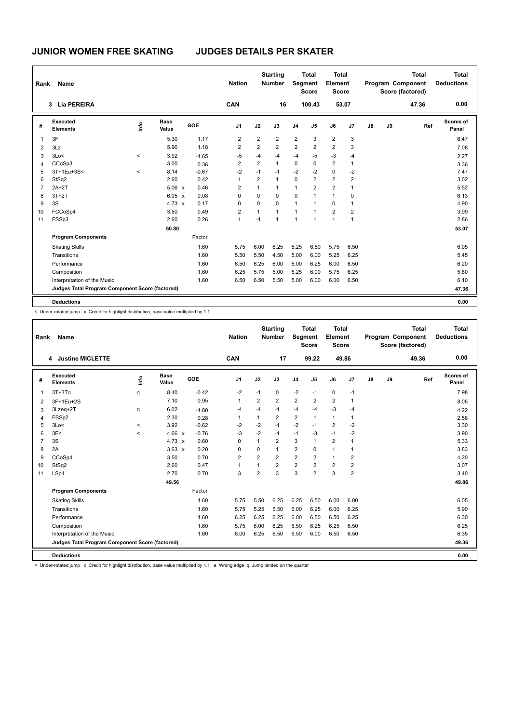| Rank           | Name                                            |                          |                      |         | <b>Nation</b>  |                | <b>Starting</b><br><b>Number</b> | Segment        | Total<br><b>Score</b> | <b>Total</b><br>Element<br><b>Score</b> |                |    |    | <b>Total</b><br>Program Component<br>Score (factored) | <b>Total</b><br><b>Deductions</b> |
|----------------|-------------------------------------------------|--------------------------|----------------------|---------|----------------|----------------|----------------------------------|----------------|-----------------------|-----------------------------------------|----------------|----|----|-------------------------------------------------------|-----------------------------------|
|                | 3 Lia PEREIRA                                   |                          |                      |         | CAN            |                | 16                               |                | 100.43                |                                         | 53.07          |    |    | 47.36                                                 | 0.00                              |
| #              | Executed<br><b>Elements</b>                     | lnfo                     | <b>Base</b><br>Value | GOE     | J <sub>1</sub> | J2             | J3                               | J <sub>4</sub> | J <sub>5</sub>        | J6                                      | J7             | J8 | J9 | Ref                                                   | Scores of<br>Panel                |
| 1              | 3F                                              |                          | 5.30                 | 1.17    | $\overline{2}$ | $\overline{2}$ | $\overline{2}$                   | $\overline{2}$ | 3                     | $\overline{2}$                          | 3              |    |    |                                                       | 6.47                              |
| 2              | 3Lz                                             |                          | 5.90                 | 1.18    | 2              | $\overline{2}$ | 2                                | 2              | 2                     | $\overline{2}$                          | 3              |    |    |                                                       | 7.08                              |
| 3              | 3Lo<                                            | $\hat{}$                 | 3.92                 | $-1.65$ | $-5$           | $-4$           | -4                               | $-4$           | $-5$                  | $-3$                                    | $-4$           |    |    |                                                       | 2.27                              |
| $\overline{4}$ | CCoSp3                                          |                          | 3.00                 | 0.36    | $\overline{2}$ | $\overline{2}$ | $\mathbf{1}$                     | $\mathbf 0$    | $\mathbf 0$           | $\overline{2}$                          | $\mathbf{1}$   |    |    |                                                       | 3.36                              |
| 5              | 3T+1Eu+3S<                                      | $\overline{\phantom{0}}$ | 8.14                 | $-0.67$ | $-2$           | $-1$           | $-1$                             | $-2$           | $-2$                  | $\mathbf 0$                             | $-2$           |    |    |                                                       | 7.47                              |
| 6              | StSq2                                           |                          | 2.60                 | 0.42    | 1              | $\overline{2}$ | $\mathbf{1}$                     | $\mathbf 0$    | $\overline{2}$        | $\overline{2}$                          | 2              |    |    |                                                       | 3.02                              |
| $\overline{7}$ | $2A+2T$                                         |                          | $5.06 \times$        | 0.46    | $\overline{2}$ | $\mathbf{1}$   | $\mathbf{1}$                     | $\mathbf{1}$   | $\overline{2}$        | $\overline{2}$                          | $\mathbf{1}$   |    |    |                                                       | 5.52                              |
| 8              | $3T+2T$                                         |                          | $6.05 \times$        | 0.08    | $\Omega$       | $\Omega$       | $\Omega$                         | $\mathbf 0$    | $\mathbf{1}$          | $\mathbf{1}$                            | $\Omega$       |    |    |                                                       | 6.13                              |
| 9              | 3S                                              |                          | $4.73 \times$        | 0.17    | 0              | $\mathbf 0$    | $\mathbf 0$                      | 1              | 1                     | $\mathbf 0$                             | 1              |    |    |                                                       | 4.90                              |
| 10             | FCCoSp4                                         |                          | 3.50                 | 0.49    | $\overline{2}$ | $\mathbf{1}$   | $\mathbf{1}$                     | 1              | $\mathbf{1}$          | $\overline{2}$                          | $\overline{2}$ |    |    |                                                       | 3.99                              |
| 11             | FSSp3                                           |                          | 2.60                 | 0.26    | 1              | $-1$           | $\overline{1}$                   | 1              | 1                     | $\overline{1}$                          | $\mathbf{1}$   |    |    |                                                       | 2.86                              |
|                |                                                 |                          | 50.80                |         |                |                |                                  |                |                       |                                         |                |    |    |                                                       | 53.07                             |
|                | <b>Program Components</b>                       |                          |                      | Factor  |                |                |                                  |                |                       |                                         |                |    |    |                                                       |                                   |
|                | <b>Skating Skills</b>                           |                          |                      | 1.60    | 5.75           | 6.00           | 6.25                             | 5.25           | 6.50                  | 5.75                                    | 6.50           |    |    |                                                       | 6.05                              |
|                | Transitions                                     |                          |                      | 1.60    | 5.50           | 5.50           | 4.50                             | 5.00           | 6.00                  | 5.25                                    | 6.25           |    |    |                                                       | 5.45                              |
|                | Performance                                     |                          |                      | 1.60    | 6.50           | 6.25           | 6.00                             | 5.00           | 6.25                  | 6.00                                    | 6.50           |    |    |                                                       | 6.20                              |
|                | Composition                                     |                          |                      | 1.60    | 6.25           | 5.75           | 5.00                             | 5.25           | 6.00                  | 5.75                                    | 6.25           |    |    |                                                       | 5.80                              |
|                | Interpretation of the Music                     |                          |                      | 1.60    | 6.50           | 6.50           | 5.50                             | 5.00           | 6.00                  | 6.00                                    | 6.50           |    |    |                                                       | 6.10                              |
|                | Judges Total Program Component Score (factored) |                          |                      |         |                |                |                                  |                |                       |                                         |                |    |    |                                                       | 47.36                             |
|                | <b>Deductions</b>                               |                          |                      |         |                |                |                                  |                |                       |                                         |                |    |    |                                                       | 0.00                              |

< Under-rotated jump x Credit for highlight distribution, base value multiplied by 1.1

| Rank           | <b>Name</b>                                     |            |                      |         | <b>Nation</b>  |                | <b>Starting</b><br><b>Number</b> | Segment        | <b>Total</b><br><b>Score</b> | Total<br>Element<br><b>Score</b> |                |    |    | <b>Total</b><br>Program Component<br>Score (factored) | Total<br><b>Deductions</b> |
|----------------|-------------------------------------------------|------------|----------------------|---------|----------------|----------------|----------------------------------|----------------|------------------------------|----------------------------------|----------------|----|----|-------------------------------------------------------|----------------------------|
|                | 4 Justine MICLETTE                              |            |                      |         | CAN            |                | 17                               |                | 99.22                        |                                  | 49.86          |    |    | 49.36                                                 | 0.00                       |
| #              | Executed<br><b>Elements</b>                     | <b>Lin</b> | <b>Base</b><br>Value | GOE     | J <sub>1</sub> | J2             | J3                               | J <sub>4</sub> | J5                           | J6                               | J7             | J8 | J9 | Ref                                                   | Scores of<br>Panel         |
| $\overline{1}$ | $3T+3Tq$                                        | q          | 8.40                 | $-0.42$ | $-2$           | $-1$           | 0                                | $-2$           | $-1$                         | $\mathbf 0$                      | $-1$           |    |    |                                                       | 7.98                       |
| 2              | 3F+1Eu+2S                                       |            | 7.10                 | 0.95    | 1              | $\overline{2}$ | $\overline{2}$                   | $\overline{2}$ | $\overline{2}$               | $\overline{2}$                   | $\mathbf{1}$   |    |    |                                                       | 8.05                       |
| 3              | 3Lzeq+2T                                        | q          | 6.02                 | $-1.80$ | -4             | $-4$           | $-1$                             | $-4$           | $-4$                         | $-3$                             | $-4$           |    |    |                                                       | 4.22                       |
| 4              | FSSp2                                           |            | 2.30                 | 0.28    | $\mathbf{1}$   | $\mathbf{1}$   | $\overline{2}$                   | $\overline{2}$ | 1                            | $\mathbf{1}$                     | $\mathbf{1}$   |    |    |                                                       | 2.58                       |
| 5              | 3Lo<                                            | $\prec$    | 3.92                 | $-0.62$ | $-2$           | $-2$           | $-1$                             | $-2$           | $-1$                         | $\overline{2}$                   | $-2$           |    |    |                                                       | 3.30                       |
| 6              | 3F<                                             | $\prec$    | 4.66 $\times$        | $-0.76$ | -3             | $-2$           | $-1$                             | $-1$           | $-3$                         | $-1$                             | $-2$           |    |    |                                                       | 3.90                       |
| $\overline{7}$ | 3S                                              |            | 4.73 $\times$        | 0.60    | $\mathbf 0$    | $\mathbf{1}$   | $\overline{2}$                   | 3              | 1                            | $\overline{2}$                   | 1              |    |    |                                                       | 5.33                       |
| 8              | 2A                                              |            | $3.63 \times$        | 0.20    | 0              | 0              | $\mathbf{1}$                     | $\overline{2}$ | 0                            | $\mathbf{1}$                     | $\mathbf{1}$   |    |    |                                                       | 3.83                       |
| 9              | CCoSp4                                          |            | 3.50                 | 0.70    | $\overline{2}$ | $\overline{2}$ | $\overline{2}$                   | $\overline{2}$ | $\overline{2}$               | $\mathbf{1}$                     | $\overline{2}$ |    |    |                                                       | 4.20                       |
| 10             | StSq2                                           |            | 2.60                 | 0.47    | 1              | $\mathbf{1}$   | $\overline{2}$                   | $\overline{2}$ | $\overline{2}$               | $\overline{2}$                   | $\overline{2}$ |    |    |                                                       | 3.07                       |
| 11             | LSp4                                            |            | 2.70                 | 0.70    | 3              | $\overline{2}$ | 3                                | 3              | $\overline{2}$               | 3                                | $\overline{2}$ |    |    |                                                       | 3.40                       |
|                |                                                 |            | 49.56                |         |                |                |                                  |                |                              |                                  |                |    |    |                                                       | 49.86                      |
|                | <b>Program Components</b>                       |            |                      | Factor  |                |                |                                  |                |                              |                                  |                |    |    |                                                       |                            |
|                | <b>Skating Skills</b>                           |            |                      | 1.60    | 5.75           | 5.50           | 6.25                             | 6.25           | 6.50                         | 6.00                             | 6.00           |    |    |                                                       | 6.05                       |
|                | Transitions                                     |            |                      | 1.60    | 5.75           | 5.25           | 5.50                             | 6.00           | 6.25                         | 6.00                             | 6.25           |    |    |                                                       | 5.90                       |
|                | Performance                                     |            |                      | 1.60    | 6.25           | 6.25           | 6.25                             | 6.00           | 6.50                         | 6.50                             | 6.25           |    |    |                                                       | 6.30                       |
|                | Composition                                     |            |                      | 1.60    | 5.75           | 6.00           | 6.25                             | 6.50           | 6.25                         | 6.25                             | 6.50           |    |    |                                                       | 6.25                       |
|                | Interpretation of the Music                     |            |                      | 1.60    | 6.00           | 6.25           | 6.50                             | 6.50           | 6.00                         | 6.50                             | 6.50           |    |    |                                                       | 6.35                       |
|                | Judges Total Program Component Score (factored) |            |                      |         |                |                |                                  |                |                              |                                  |                |    |    |                                                       | 49.36                      |
|                | <b>Deductions</b>                               |            |                      |         |                |                |                                  |                |                              |                                  |                |    |    |                                                       | 0.00                       |

< Under-rotated jump x Credit for highlight distribution, base value multiplied by 1.1 e Wrong edge q Jump landed on the quarter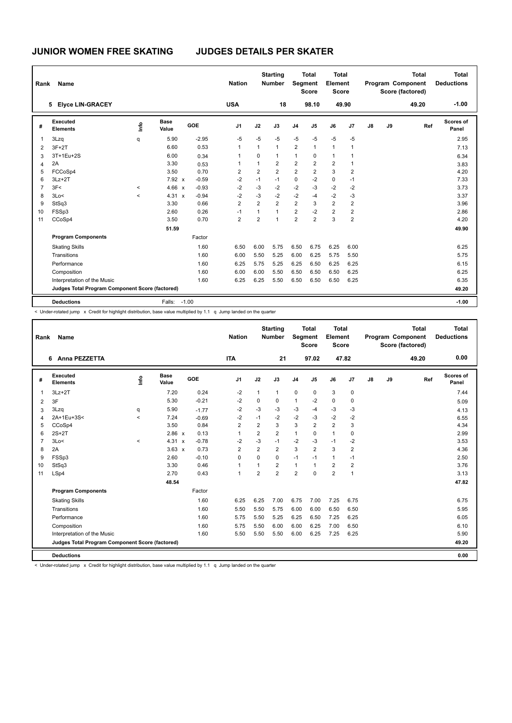| Rank           | Name                                            |         |                      |         | <b>Nation</b>  |                | <b>Starting</b><br><b>Number</b> |                | <b>Total</b><br>Segment<br><b>Score</b> | <b>Total</b><br>Element<br><b>Score</b> |                         |    |    | <b>Total</b><br><b>Program Component</b><br>Score (factored) | <b>Total</b><br><b>Deductions</b> |
|----------------|-------------------------------------------------|---------|----------------------|---------|----------------|----------------|----------------------------------|----------------|-----------------------------------------|-----------------------------------------|-------------------------|----|----|--------------------------------------------------------------|-----------------------------------|
|                | 5 Elyce LIN-GRACEY                              |         |                      |         | <b>USA</b>     |                | 18                               |                | 98.10                                   |                                         | 49.90                   |    |    | 49.20                                                        | $-1.00$                           |
| #              | <b>Executed</b><br><b>Elements</b>              | ١mfo    | <b>Base</b><br>Value | GOE     | J <sub>1</sub> | J2             | J3                               | J <sub>4</sub> | J <sub>5</sub>                          | J6                                      | J <sub>7</sub>          | J8 | J9 | Ref                                                          | Scores of<br>Panel                |
| 1              | 3Lzq                                            | q       | 5.90                 | $-2.95$ | $-5$           | $-5$           | $-5$                             | $-5$           | $-5$                                    | $-5$                                    | $-5$                    |    |    |                                                              | 2.95                              |
| 2              | $3F+2T$                                         |         | 6.60                 | 0.53    | 1              | 1              | $\mathbf{1}$                     | 2              | $\mathbf{1}$                            | $\mathbf{1}$                            | $\overline{1}$          |    |    |                                                              | 7.13                              |
| 3              | 3T+1Eu+2S                                       |         | 6.00                 | 0.34    |                | $\Omega$       | 1                                | $\mathbf{1}$   | $\mathbf 0$                             | $\mathbf{1}$                            |                         |    |    |                                                              | 6.34                              |
| 4              | 2A                                              |         | 3.30                 | 0.53    | 1              | $\mathbf{1}$   | $\overline{2}$                   | $\overline{2}$ | $\overline{2}$                          | $\overline{2}$                          | $\mathbf 1$             |    |    |                                                              | 3.83                              |
| 5              | FCCoSp4                                         |         | 3.50                 | 0.70    | 2              | $\overline{2}$ | $\overline{2}$                   | $\overline{2}$ | $\overline{2}$                          | 3                                       | $\overline{2}$          |    |    |                                                              | 4.20                              |
| 6              | $3Lz + 2T$                                      |         | 7.92 x               | $-0.59$ | $-2$           | $-1$           | $-1$                             | $\pmb{0}$      | $-2$                                    | $\pmb{0}$                               | $-1$                    |    |    |                                                              | 7.33                              |
| $\overline{7}$ | 3F<                                             | $\prec$ | 4.66 x               | $-0.93$ | $-2$           | $-3$           | $-2$                             | $-2$           | $-3$                                    | $-2$                                    | $-2$                    |    |    |                                                              | 3.73                              |
| 8              | 3Lo<                                            | $\prec$ | 4.31 x               | $-0.94$ | $-2$           | $-3$           | $-2$                             | $-2$           | $-4$                                    | $-2$                                    | $-3$                    |    |    |                                                              | 3.37                              |
| 9              | StSq3                                           |         | 3.30                 | 0.66    | $\overline{2}$ | $\overline{2}$ | $\overline{2}$                   | $\overline{2}$ | 3                                       | $\overline{2}$                          | $\overline{2}$          |    |    |                                                              | 3.96                              |
| 10             | FSSp3                                           |         | 2.60                 | 0.26    | $-1$           | 1              | $\mathbf{1}$                     | $\overline{2}$ | $-2$                                    | $\overline{2}$                          | $\overline{\mathbf{c}}$ |    |    |                                                              | 2.86                              |
| 11             | CCoSp4                                          |         | 3.50                 | 0.70    | $\overline{2}$ | $\overline{2}$ | 1                                | $\overline{2}$ | $\overline{2}$                          | 3                                       | $\overline{2}$          |    |    |                                                              | 4.20                              |
|                |                                                 |         | 51.59                |         |                |                |                                  |                |                                         |                                         |                         |    |    |                                                              | 49.90                             |
|                | <b>Program Components</b>                       |         |                      | Factor  |                |                |                                  |                |                                         |                                         |                         |    |    |                                                              |                                   |
|                | <b>Skating Skills</b>                           |         |                      | 1.60    | 6.50           | 6.00           | 5.75                             | 6.50           | 6.75                                    | 6.25                                    | 6.00                    |    |    |                                                              | 6.25                              |
|                | Transitions                                     |         |                      | 1.60    | 6.00           | 5.50           | 5.25                             | 6.00           | 6.25                                    | 5.75                                    | 5.50                    |    |    |                                                              | 5.75                              |
|                | Performance                                     |         |                      | 1.60    | 6.25           | 5.75           | 5.25                             | 6.25           | 6.50                                    | 6.25                                    | 6.25                    |    |    |                                                              | 6.15                              |
|                | Composition                                     |         |                      | 1.60    | 6.00           | 6.00           | 5.50                             | 6.50           | 6.50                                    | 6.50                                    | 6.25                    |    |    |                                                              | 6.25                              |
|                | Interpretation of the Music                     |         |                      | 1.60    | 6.25           | 6.25           | 5.50                             | 6.50           | 6.50                                    | 6.50                                    | 6.25                    |    |    |                                                              | 6.35                              |
|                | Judges Total Program Component Score (factored) |         |                      |         |                |                |                                  |                |                                         |                                         |                         |    |    |                                                              | 49.20                             |
|                | <b>Deductions</b>                               |         | Falls:               | $-1.00$ |                |                |                                  |                |                                         |                                         |                         |    |    |                                                              | $-1.00$                           |

< Under-rotated jump x Credit for highlight distribution, base value multiplied by 1.1 q Jump landed on the quarter

| Rank           | <b>Name</b>                                     |                          |                      |         | <b>Nation</b>  |                | <b>Starting</b><br><b>Number</b> | Segment        | Total<br><b>Score</b> | Total<br>Element<br><b>Score</b> |                |               |    | Total<br>Program Component<br>Score (factored) | Total<br><b>Deductions</b> |
|----------------|-------------------------------------------------|--------------------------|----------------------|---------|----------------|----------------|----------------------------------|----------------|-----------------------|----------------------------------|----------------|---------------|----|------------------------------------------------|----------------------------|
|                | <b>Anna PEZZETTA</b><br>6                       |                          |                      |         | <b>ITA</b>     |                | 21                               |                | 97.02                 | 47.82                            |                |               |    | 49.20                                          | 0.00                       |
| #              | Executed<br><b>Elements</b>                     | ١nfo                     | Base<br>Value        | GOE     | J <sub>1</sub> | J2             | J3                               | J <sub>4</sub> | J <sub>5</sub>        | J6                               | J <sub>7</sub> | $\mathsf{J}8$ | J9 | Ref                                            | Scores of<br>Panel         |
| $\overline{1}$ | $3Lz + 2T$                                      |                          | 7.20                 | 0.24    | $-2$           | $\mathbf{1}$   | 1                                | $\mathbf 0$    | 0                     | 3                                | 0              |               |    |                                                | 7.44                       |
| 2              | 3F                                              |                          | 5.30                 | $-0.21$ | $-2$           | 0              | 0                                | $\mathbf{1}$   | $-2$                  | 0                                | 0              |               |    |                                                | 5.09                       |
| 3              | 3Lzq                                            | q                        | 5.90                 | $-1.77$ | $-2$           | $-3$           | $-3$                             | $-3$           | $-4$                  | $-3$                             | $-3$           |               |    |                                                | 4.13                       |
| $\overline{4}$ | 2A+1Eu+3S<                                      | $\overline{\phantom{a}}$ | 7.24                 | $-0.69$ | -2             | $-1$           | $-2$                             | $-2$           | $-3$                  | $-2$                             | $-2$           |               |    |                                                | 6.55                       |
| 5              | CCoSp4                                          |                          | 3.50                 | 0.84    | 2              | $\overline{2}$ | 3                                | 3              | 2                     | $\overline{2}$                   | 3              |               |    |                                                | 4.34                       |
| 6              | $2S+2T$                                         |                          | 2.86 x               | 0.13    | $\mathbf{1}$   | $\overline{2}$ | $\overline{2}$                   | $\mathbf{1}$   | $\Omega$              | $\mathbf{1}$                     | $\Omega$       |               |    |                                                | 2.99                       |
| $\overline{7}$ | 3Lo<                                            | $\prec$                  | 4.31<br>$\mathsf{x}$ | $-0.78$ | $-2$           | $-3$           | $-1$                             | $-2$           | $-3$                  | $-1$                             | $-2$           |               |    |                                                | 3.53                       |
| 8              | 2A                                              |                          | $3.63 \times$        | 0.73    | $\overline{2}$ | $\overline{2}$ | $\overline{2}$                   | 3              | $\overline{2}$        | 3                                | $\overline{2}$ |               |    |                                                | 4.36                       |
| 9              | FSSp3                                           |                          | 2.60                 | $-0.10$ | $\Omega$       | $\Omega$       | $\Omega$                         | $-1$           | $-1$                  | 1                                | $-1$           |               |    |                                                | 2.50                       |
| 10             | StSq3                                           |                          | 3.30                 | 0.46    | $\overline{1}$ | 1              | $\overline{2}$                   | $\mathbf{1}$   | $\mathbf{1}$          | $\overline{2}$                   | $\overline{2}$ |               |    |                                                | 3.76                       |
| 11             | LSp4                                            |                          | 2.70                 | 0.43    | $\overline{1}$ | $\overline{2}$ | $\overline{2}$                   | $\overline{2}$ | $\Omega$              | $\overline{2}$                   | $\overline{1}$ |               |    |                                                | 3.13                       |
|                |                                                 |                          | 48.54                |         |                |                |                                  |                |                       |                                  |                |               |    |                                                | 47.82                      |
|                | <b>Program Components</b>                       |                          |                      | Factor  |                |                |                                  |                |                       |                                  |                |               |    |                                                |                            |
|                | <b>Skating Skills</b>                           |                          |                      | 1.60    | 6.25           | 6.25           | 7.00                             | 6.75           | 7.00                  | 7.25                             | 6.75           |               |    |                                                | 6.75                       |
|                | Transitions                                     |                          |                      | 1.60    | 5.50           | 5.50           | 5.75                             | 6.00           | 6.00                  | 6.50                             | 6.50           |               |    |                                                | 5.95                       |
|                | Performance                                     |                          |                      | 1.60    | 5.75           | 5.50           | 5.25                             | 6.25           | 6.50                  | 7.25                             | 6.25           |               |    |                                                | 6.05                       |
|                | Composition                                     |                          |                      | 1.60    | 5.75           | 5.50           | 6.00                             | 6.00           | 6.25                  | 7.00                             | 6.50           |               |    |                                                | 6.10                       |
|                | Interpretation of the Music                     |                          |                      | 1.60    | 5.50           | 5.50           | 5.50                             | 6.00           | 6.25                  | 7.25                             | 6.25           |               |    |                                                | 5.90                       |
|                | Judges Total Program Component Score (factored) |                          |                      |         |                |                |                                  |                |                       |                                  |                |               |    |                                                | 49.20                      |
|                | <b>Deductions</b>                               |                          |                      |         |                |                |                                  |                |                       |                                  |                |               |    |                                                | 0.00                       |

< Under-rotated jump x Credit for highlight distribution, base value multiplied by 1.1 q Jump landed on the quarter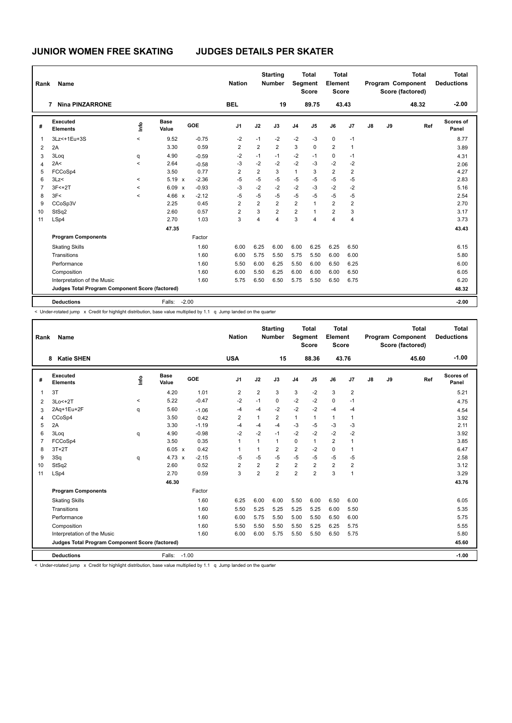| Rank           | Name                                            |         |                      |         | <b>Nation</b>  |                | <b>Starting</b><br><b>Number</b> |                | <b>Total</b><br><b>Segment</b><br><b>Score</b> | <b>Total</b><br>Element<br><b>Score</b> |                |    |    | <b>Total</b><br>Program Component<br>Score (factored) | Total<br><b>Deductions</b> |
|----------------|-------------------------------------------------|---------|----------------------|---------|----------------|----------------|----------------------------------|----------------|------------------------------------------------|-----------------------------------------|----------------|----|----|-------------------------------------------------------|----------------------------|
|                | <b>Nina PINZARRONE</b><br>7                     |         |                      |         | <b>BEL</b>     |                | 19                               |                | 89.75                                          |                                         | 43.43          |    |    | 48.32                                                 | $-2.00$                    |
| #              | Executed<br><b>Elements</b>                     | ١m      | <b>Base</b><br>Value | GOE     | J <sub>1</sub> | J2             | J3                               | J <sub>4</sub> | J <sub>5</sub>                                 | J6                                      | J7             | J8 | J9 | Ref                                                   | Scores of<br>Panel         |
| $\overline{1}$ | 3Lz < + 1Eu + 3S                                | $\prec$ | 9.52                 | $-0.75$ | $-2$           | $-1$           | -2                               | $-2$           | $-3$                                           | $\pmb{0}$                               | $-1$           |    |    |                                                       | 8.77                       |
| 2              | 2A                                              |         | 3.30                 | 0.59    | $\overline{2}$ | $\overline{2}$ | $\overline{2}$                   | 3              | $\Omega$                                       | $\overline{2}$                          | $\mathbf 1$    |    |    |                                                       | 3.89                       |
| 3              | 3Loq                                            | q       | 4.90                 | $-0.59$ | $-2$           | $-1$           | $-1$                             | $-2$           | $-1$                                           | $\pmb{0}$                               | $-1$           |    |    |                                                       | 4.31                       |
| $\overline{4}$ | 2A<                                             | $\prec$ | 2.64                 | $-0.58$ | $-3$           | $-2$           | $-2$                             | $-2$           | $-3$                                           | $-2$                                    | $-2$           |    |    |                                                       | 2.06                       |
| 5              | FCCoSp4                                         |         | 3.50                 | 0.77    | $\overline{2}$ | $\overline{2}$ | 3                                | $\mathbf{1}$   | 3                                              | $\overline{2}$                          | 2              |    |    |                                                       | 4.27                       |
| 6              | 3Lz<                                            | $\prec$ | $5.19 \times$        | $-2.36$ | $-5$           | $-5$           | $-5$                             | $-5$           | $-5$                                           | $-5$                                    | $-5$           |    |    |                                                       | 2.83                       |
| $\overline{7}$ | $3F < +2T$                                      | $\prec$ | 6.09 x               | $-0.93$ | $-3$           | $-2$           | $-2$                             | $-2$           | $-3$                                           | $-2$                                    | $-2$           |    |    |                                                       | 5.16                       |
| 8              | 3F<                                             | $\prec$ | 4.66 x               | $-2.12$ | $-5$           | $-5$           | $-5$                             | $-5$           | $-5$                                           | $-5$                                    | $-5$           |    |    |                                                       | 2.54                       |
| 9              | CCoSp3V                                         |         | 2.25                 | 0.45    | $\overline{2}$ | $\overline{2}$ | $\overline{2}$                   | $\overline{2}$ | $\mathbf{1}$                                   | $\overline{2}$                          | $\overline{2}$ |    |    |                                                       | 2.70                       |
| 10             | StSq2                                           |         | 2.60                 | 0.57    | $\overline{2}$ | 3              | $\overline{2}$                   | $\overline{2}$ | $\overline{1}$                                 | $\overline{2}$                          | 3              |    |    |                                                       | 3.17                       |
| 11             | LSp4                                            |         | 2.70                 | 1.03    | 3              | 4              | $\overline{4}$                   | 3              | 4                                              | $\overline{4}$                          | $\overline{4}$ |    |    |                                                       | 3.73                       |
|                |                                                 |         | 47.35                |         |                |                |                                  |                |                                                |                                         |                |    |    |                                                       | 43.43                      |
|                | <b>Program Components</b>                       |         |                      | Factor  |                |                |                                  |                |                                                |                                         |                |    |    |                                                       |                            |
|                | <b>Skating Skills</b>                           |         |                      | 1.60    | 6.00           | 6.25           | 6.00                             | 6.00           | 6.25                                           | 6.25                                    | 6.50           |    |    |                                                       | 6.15                       |
|                | Transitions                                     |         |                      | 1.60    | 6.00           | 5.75           | 5.50                             | 5.75           | 5.50                                           | 6.00                                    | 6.00           |    |    |                                                       | 5.80                       |
|                | Performance                                     |         |                      | 1.60    | 5.50           | 6.00           | 6.25                             | 5.50           | 6.00                                           | 6.50                                    | 6.25           |    |    |                                                       | 6.00                       |
|                | Composition                                     |         |                      | 1.60    | 6.00           | 5.50           | 6.25                             | 6.00           | 6.00                                           | 6.00                                    | 6.50           |    |    |                                                       | 6.05                       |
|                | Interpretation of the Music                     |         |                      | 1.60    | 5.75           | 6.50           | 6.50                             | 5.75           | 5.50                                           | 6.50                                    | 6.75           |    |    |                                                       | 6.20                       |
|                | Judges Total Program Component Score (factored) |         |                      |         |                |                |                                  |                |                                                |                                         |                |    |    |                                                       | 48.32                      |
|                | <b>Deductions</b>                               |         | Falls:               | $-2.00$ |                |                |                                  |                |                                                |                                         |                |    |    |                                                       | $-2.00$                    |

< Under-rotated jump x Credit for highlight distribution, base value multiplied by 1.1 q Jump landed on the quarter

| Rank           | <b>Name</b>                                     |         |                      |         | <b>Nation</b>  |                | <b>Starting</b><br>Number | Segment        | <b>Total</b><br><b>Score</b> | <b>Total</b><br>Element<br><b>Score</b> |                |    |    | <b>Total</b><br>Program Component<br>Score (factored) | <b>Total</b><br><b>Deductions</b> |
|----------------|-------------------------------------------------|---------|----------------------|---------|----------------|----------------|---------------------------|----------------|------------------------------|-----------------------------------------|----------------|----|----|-------------------------------------------------------|-----------------------------------|
|                | <b>Katie SHEN</b><br>8                          |         |                      |         | <b>USA</b>     |                | 15                        |                | 88.36                        | 43.76                                   |                |    |    | 45.60                                                 | $-1.00$                           |
| #              | Executed<br><b>Elements</b>                     | info    | <b>Base</b><br>Value | GOE     | J <sub>1</sub> | J2             | J3                        | J <sub>4</sub> | J5                           | J6                                      | J <sub>7</sub> | J8 | J9 | Ref                                                   | Scores of<br>Panel                |
| $\overline{1}$ | 3T                                              |         | 4.20                 | 1.01    | $\overline{2}$ | $\overline{2}$ | 3                         | 3              | $-2$                         | 3                                       | $\overline{2}$ |    |    |                                                       | 5.21                              |
| 2              | $3Lo < +2T$                                     | $\prec$ | 5.22                 | $-0.47$ | $-2$           | $-1$           | $\Omega$                  | $-2$           | $-2$                         | 0                                       | $-1$           |    |    |                                                       | 4.75                              |
| 3              | 2Aq+1Eu+2F                                      | q       | 5.60                 | $-1.06$ | $-4$           | $-4$           | $-2$                      | $-2$           | $-2$                         | $-4$                                    | $-4$           |    |    |                                                       | 4.54                              |
| 4              | CCoSp4                                          |         | 3.50                 | 0.42    | $\overline{2}$ | $\mathbf{1}$   | 2                         | $\mathbf{1}$   | $\mathbf{1}$                 | $\mathbf{1}$                            | $\mathbf{1}$   |    |    |                                                       | 3.92                              |
| 5              | 2A                                              |         | 3.30                 | $-1.19$ | $-4$           | $-4$           | $-4$                      | $-3$           | $-5$                         | $-3$                                    | $-3$           |    |    |                                                       | 2.11                              |
| 6              | 3Log                                            | q       | 4.90                 | $-0.98$ | $-2$           | $-2$           | $-1$                      | $-2$           | $-2$                         | $-2$                                    | $-2$           |    |    |                                                       | 3.92                              |
| $\overline{7}$ | FCCoSp4                                         |         | 3.50                 | 0.35    | $\overline{1}$ | $\mathbf{1}$   | 1                         | $\mathbf 0$    | $\mathbf{1}$                 | $\overline{2}$                          | $\overline{1}$ |    |    |                                                       | 3.85                              |
| 8              | $3T+2T$                                         |         | 6.05 x               | 0.42    | $\overline{1}$ | 1              | $\overline{2}$            | $\overline{2}$ | $-2$                         | 0                                       | $\overline{1}$ |    |    |                                                       | 6.47                              |
| 9              | 3Sq                                             | q       | $4.73 \times$        | $-2.15$ | $-5$           | $-5$           | $-5$                      | $-5$           | $-5$                         | $-5$                                    | $-5$           |    |    |                                                       | 2.58                              |
| 10             | StSq2                                           |         | 2.60                 | 0.52    | $\overline{2}$ | $\overline{2}$ | $\overline{2}$            | $\overline{2}$ | $\overline{2}$               | $\overline{2}$                          | $\overline{2}$ |    |    |                                                       | 3.12                              |
| 11             | LSp4                                            |         | 2.70                 | 0.59    | 3              | $\overline{2}$ | $\overline{2}$            | $\overline{2}$ | $\overline{2}$               | 3                                       | $\mathbf{1}$   |    |    |                                                       | 3.29                              |
|                |                                                 |         | 46.30                |         |                |                |                           |                |                              |                                         |                |    |    |                                                       | 43.76                             |
|                | <b>Program Components</b>                       |         |                      | Factor  |                |                |                           |                |                              |                                         |                |    |    |                                                       |                                   |
|                | <b>Skating Skills</b>                           |         |                      | 1.60    | 6.25           | 6.00           | 6.00                      | 5.50           | 6.00                         | 6.50                                    | 6.00           |    |    |                                                       | 6.05                              |
|                | Transitions                                     |         |                      | 1.60    | 5.50           | 5.25           | 5.25                      | 5.25           | 5.25                         | 6.00                                    | 5.50           |    |    |                                                       | 5.35                              |
|                | Performance                                     |         |                      | 1.60    | 6.00           | 5.75           | 5.50                      | 5.00           | 5.50                         | 6.50                                    | 6.00           |    |    |                                                       | 5.75                              |
|                | Composition                                     |         |                      | 1.60    | 5.50           | 5.50           | 5.50                      | 5.50           | 5.25                         | 6.25                                    | 5.75           |    |    |                                                       | 5.55                              |
|                | Interpretation of the Music                     |         |                      | 1.60    | 6.00           | 6.00           | 5.75                      | 5.50           | 5.50                         | 6.50                                    | 5.75           |    |    |                                                       | 5.80                              |
|                | Judges Total Program Component Score (factored) |         |                      |         |                |                |                           |                |                              |                                         |                |    |    |                                                       | 45.60                             |
|                | <b>Deductions</b>                               |         | Falls:               | $-1.00$ |                |                |                           |                |                              |                                         |                |    |    |                                                       | $-1.00$                           |

< Under-rotated jump x Credit for highlight distribution, base value multiplied by 1.1 q Jump landed on the quarter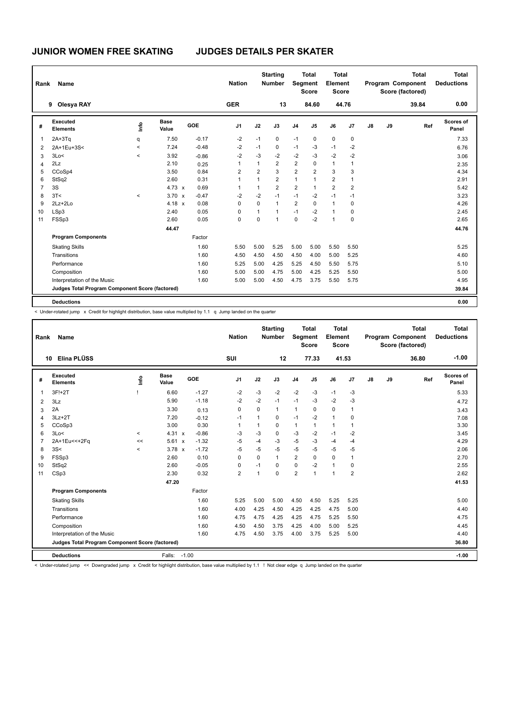| Rank           | Name                                            |         |                      |         | <b>Nation</b>  |                | <b>Starting</b><br><b>Number</b> |                | <b>Total</b><br>Segment<br><b>Score</b> | <b>Total</b><br>Element<br><b>Score</b> |                |    |    | <b>Total</b><br>Program Component<br>Score (factored) | <b>Total</b><br><b>Deductions</b> |
|----------------|-------------------------------------------------|---------|----------------------|---------|----------------|----------------|----------------------------------|----------------|-----------------------------------------|-----------------------------------------|----------------|----|----|-------------------------------------------------------|-----------------------------------|
|                | 9 Olesya RAY                                    |         |                      |         | <b>GER</b>     |                | 13                               |                | 84.60                                   |                                         | 44.76          |    |    | 39.84                                                 | 0.00                              |
| #              | <b>Executed</b><br><b>Elements</b>              | ١mfo    | <b>Base</b><br>Value | GOE     | J <sub>1</sub> | J2             | J3                               | J <sub>4</sub> | J5                                      | J6                                      | J <sub>7</sub> | J8 | J9 | Ref                                                   | Scores of<br>Panel                |
| 1              | $2A+3Tq$                                        | q       | 7.50                 | $-0.17$ | $-2$           | $-1$           | 0                                | $-1$           | 0                                       | $\mathbf 0$                             | 0              |    |    |                                                       | 7.33                              |
| 2              | 2A+1Eu+3S<                                      | $\,<\,$ | 7.24                 | $-0.48$ | $-2$           | $-1$           | 0                                | $-1$           | $-3$                                    | $-1$                                    | $-2$           |    |    |                                                       | 6.76                              |
| 3              | 3Lo<                                            | $\prec$ | 3.92                 | $-0.86$ | $-2$           | $-3$           | $-2$                             | $-2$           | $-3$                                    | $-2$                                    | $-2$           |    |    |                                                       | 3.06                              |
| 4              | 2Lz                                             |         | 2.10                 | 0.25    | 1              | 1              | $\overline{2}$                   | $\overline{2}$ | $\mathbf 0$                             | $\mathbf{1}$                            | 1              |    |    |                                                       | 2.35                              |
| 5              | CCoSp4                                          |         | 3.50                 | 0.84    | 2              | $\overline{2}$ | 3                                | $\overline{2}$ | $\overline{2}$                          | 3                                       | 3              |    |    |                                                       | 4.34                              |
| 6              | StSq2                                           |         | 2.60                 | 0.31    | 1              | $\mathbf{1}$   | $\overline{2}$                   | 1              | 1                                       | $\overline{2}$                          | 1              |    |    |                                                       | 2.91                              |
| $\overline{7}$ | 3S                                              |         | 4.73 $\times$        | 0.69    | 1              | $\mathbf{1}$   | $\overline{2}$                   | $\overline{2}$ | $\mathbf{1}$                            | $\overline{2}$                          | $\overline{2}$ |    |    |                                                       | 5.42                              |
| 8              | 3T<                                             | $\,<$   | $3.70 \times$        | $-0.47$ | $-2$           | $-2$           | $-1$                             | $-1$           | $-2$                                    | $-1$                                    | $-1$           |    |    |                                                       | 3.23                              |
| 9              | $2Lz + 2Lo$                                     |         | $4.18 \times$        | 0.08    | 0              | $\Omega$       | $\mathbf{1}$                     | $\overline{2}$ | $\mathbf 0$                             | $\mathbf{1}$                            | 0              |    |    |                                                       | 4.26                              |
| 10             | LSp3                                            |         | 2.40                 | 0.05    | 0              | 1              | 1                                | $-1$           | $-2$                                    | $\mathbf{1}$                            | 0              |    |    |                                                       | 2.45                              |
| 11             | FSSp3                                           |         | 2.60                 | 0.05    | 0              | 0              | 1                                | $\mathbf 0$    | $-2$                                    | $\mathbf{1}$                            | $\mathbf 0$    |    |    |                                                       | 2.65                              |
|                |                                                 |         | 44.47                |         |                |                |                                  |                |                                         |                                         |                |    |    |                                                       | 44.76                             |
|                | <b>Program Components</b>                       |         |                      | Factor  |                |                |                                  |                |                                         |                                         |                |    |    |                                                       |                                   |
|                | <b>Skating Skills</b>                           |         |                      | 1.60    | 5.50           | 5.00           | 5.25                             | 5.00           | 5.00                                    | 5.50                                    | 5.50           |    |    |                                                       | 5.25                              |
|                | Transitions                                     |         |                      | 1.60    | 4.50           | 4.50           | 4.50                             | 4.50           | 4.00                                    | 5.00                                    | 5.25           |    |    |                                                       | 4.60                              |
|                | Performance                                     |         |                      | 1.60    | 5.25           | 5.00           | 4.25                             | 5.25           | 4.50                                    | 5.50                                    | 5.75           |    |    |                                                       | 5.10                              |
|                | Composition                                     |         |                      | 1.60    | 5.00           | 5.00           | 4.75                             | 5.00           | 4.25                                    | 5.25                                    | 5.50           |    |    |                                                       | 5.00                              |
|                | Interpretation of the Music                     |         |                      | 1.60    | 5.00           | 5.00           | 4.50                             | 4.75           | 3.75                                    | 5.50                                    | 5.75           |    |    |                                                       | 4.95                              |
|                | Judges Total Program Component Score (factored) |         |                      |         |                |                |                                  |                |                                         |                                         |                |    |    |                                                       | 39.84                             |
|                | <b>Deductions</b>                               |         |                      |         |                |                |                                  |                |                                         |                                         |                |    |    |                                                       | 0.00                              |

< Under-rotated jump x Credit for highlight distribution, base value multiplied by 1.1 q Jump landed on the quarter

| Rank           | <b>Name</b>                                     |         |                      |         | <b>Nation</b>  |              | <b>Starting</b><br><b>Number</b> | <b>Segment</b> | <b>Total</b><br><b>Score</b> | Total<br>Element<br><b>Score</b> |                |               |    | Total<br>Program Component<br>Score (factored) | Total<br><b>Deductions</b> |
|----------------|-------------------------------------------------|---------|----------------------|---------|----------------|--------------|----------------------------------|----------------|------------------------------|----------------------------------|----------------|---------------|----|------------------------------------------------|----------------------------|
|                | Elina PLÜSS<br>10                               |         |                      |         | SUI            |              | 12                               |                | 77.33                        | 41.53                            |                |               |    | 36.80                                          | $-1.00$                    |
| #              | Executed<br><b>Elements</b>                     | lnfo    | Base<br>Value        | GOE     | J <sub>1</sub> | J2           | J3                               | J <sub>4</sub> | J <sub>5</sub>               | J6                               | J <sub>7</sub> | $\mathsf{J}8$ | J9 | Ref                                            | Scores of<br>Panel         |
| $\overline{1}$ | 3F!+2T                                          |         | 6.60                 | $-1.27$ | $-2$           | $-3$         | $-2$                             | $-2$           | $-3$                         | $-1$                             | $-3$           |               |    |                                                | 5.33                       |
| 2              | 3Lz                                             |         | 5.90                 | $-1.18$ | -2             | $-2$         | $-1$                             | $-1$           | $-3$                         | $-2$                             | -3             |               |    |                                                | 4.72                       |
| 3              | 2A                                              |         | 3.30                 | 0.13    | $\mathbf 0$    | $\Omega$     | 1                                | $\mathbf{1}$   | 0                            | 0                                | $\overline{1}$ |               |    |                                                | 3.43                       |
| 4              | $3Lz + 2T$                                      |         | 7.20                 | $-0.12$ | $-1$           | $\mathbf{1}$ | 0                                | $-1$           | $-2$                         | $\mathbf{1}$                     | $\mathbf 0$    |               |    |                                                | 7.08                       |
| 5              | CCoSp3                                          |         | 3.00                 | 0.30    | $\overline{1}$ | 1            | $\Omega$                         | $\mathbf{1}$   | $\mathbf{1}$                 | $\mathbf{1}$                     | $\overline{1}$ |               |    |                                                | 3.30                       |
| 6              | 3Lo<                                            | $\prec$ | 4.31 x               | $-0.86$ | -3             | $-3$         | 0                                | $-3$           | $-2$                         | $-1$                             | $-2$           |               |    |                                                | 3.45                       |
| $\overline{7}$ | 2A+1Eu<<+2Fq                                    | <<      | 5.61<br>$\mathbf{x}$ | $-1.32$ | $-5$           | $-4$         | $-3$                             | $-5$           | $-3$                         | $-4$                             | $-4$           |               |    |                                                | 4.29                       |
| 8              | 3S<                                             | $\prec$ | $3.78 \times$        | $-1.72$ | $-5$           | $-5$         | $-5$                             | $-5$           | $-5$                         | $-5$                             | $-5$           |               |    |                                                | 2.06                       |
| 9              | FSSp3                                           |         | 2.60                 | 0.10    | $\Omega$       | $\Omega$     | 1                                | $\overline{2}$ | $\Omega$                     | $\Omega$                         | $\overline{1}$ |               |    |                                                | 2.70                       |
| 10             | StSq2                                           |         | 2.60                 | $-0.05$ | $\mathbf 0$    | $-1$         | $\Omega$                         | $\Omega$       | $-2$                         | $\mathbf{1}$                     | $\pmb{0}$      |               |    |                                                | 2.55                       |
| 11             | CSp3                                            |         | 2.30                 | 0.32    | $\overline{2}$ | 1            | $\Omega$                         | $\overline{2}$ | $\mathbf{1}$                 | $\mathbf{1}$                     | $\overline{2}$ |               |    |                                                | 2.62                       |
|                |                                                 |         | 47.20                |         |                |              |                                  |                |                              |                                  |                |               |    |                                                | 41.53                      |
|                | <b>Program Components</b>                       |         |                      | Factor  |                |              |                                  |                |                              |                                  |                |               |    |                                                |                            |
|                | <b>Skating Skills</b>                           |         |                      | 1.60    | 5.25           | 5.00         | 5.00                             | 4.50           | 4.50                         | 5.25                             | 5.25           |               |    |                                                | 5.00                       |
|                | Transitions                                     |         |                      | 1.60    | 4.00           | 4.25         | 4.50                             | 4.25           | 4.25                         | 4.75                             | 5.00           |               |    |                                                | 4.40                       |
|                | Performance                                     |         |                      | 1.60    | 4.75           | 4.75         | 4.25                             | 4.25           | 4.75                         | 5.25                             | 5.50           |               |    |                                                | 4.75                       |
|                | Composition                                     |         |                      | 1.60    | 4.50           | 4.50         | 3.75                             | 4.25           | 4.00                         | 5.00                             | 5.25           |               |    |                                                | 4.45                       |
|                | Interpretation of the Music                     |         |                      | 1.60    | 4.75           | 4.50         | 3.75                             | 4.00           | 3.75                         | 5.25                             | 5.00           |               |    |                                                | 4.40                       |
|                | Judges Total Program Component Score (factored) |         |                      |         |                |              |                                  |                |                              |                                  |                |               |    |                                                | 36.80                      |
|                | <b>Deductions</b>                               |         | Falls:               | $-1.00$ |                |              |                                  |                |                              |                                  |                |               |    |                                                | $-1.00$                    |

< Under-rotated jump << Downgraded jump x Credit for highlight distribution, base value multiplied by 1.1 ! Not clear edge q Jump landed on the quarter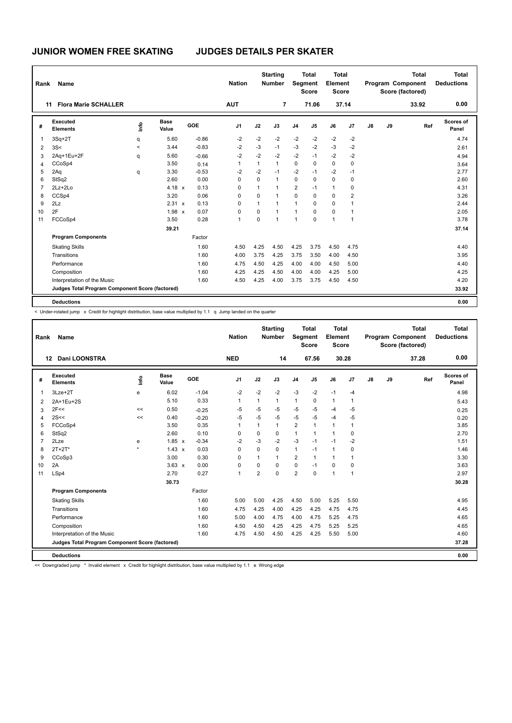| Rank           | <b>Name</b>                                     |         |                      |            | <b>Nation</b>  |              | <b>Starting</b><br><b>Number</b> |                | <b>Total</b><br><b>Segment</b><br><b>Score</b> | <b>Total</b><br>Element<br><b>Score</b> |                |    |    | <b>Total</b><br>Program Component<br>Score (factored) | <b>Total</b><br><b>Deductions</b> |
|----------------|-------------------------------------------------|---------|----------------------|------------|----------------|--------------|----------------------------------|----------------|------------------------------------------------|-----------------------------------------|----------------|----|----|-------------------------------------------------------|-----------------------------------|
|                | <b>Flora Marie SCHALLER</b><br>11               |         |                      |            | <b>AUT</b>     |              | $\overline{7}$                   |                | 71.06                                          |                                         | 37.14          |    |    | 33.92                                                 | 0.00                              |
| #              | Executed<br><b>Elements</b>                     | ١m      | <b>Base</b><br>Value | <b>GOE</b> | J <sub>1</sub> | J2           | J3                               | J <sub>4</sub> | J <sub>5</sub>                                 | J6                                      | J7             | J8 | J9 | Ref                                                   | Scores of<br>Panel                |
| $\overline{1}$ | $3Sq+2T$                                        | q       | 5.60                 | $-0.86$    | $-2$           | $-2$         | $-2$                             | $-2$           | $-2$                                           | $-2$                                    | $-2$           |    |    |                                                       | 4.74                              |
| 2              | 3S<                                             | $\prec$ | 3.44                 | $-0.83$    | $-2$           | $-3$         | $-1$                             | $-3$           | $-2$                                           | $-3$                                    | $-2$           |    |    |                                                       | 2.61                              |
| 3              | 2Aq+1Eu+2F                                      | q       | 5.60                 | $-0.66$    | $-2$           | $-2$         | $-2$                             | $-2$           | $-1$                                           | $-2$                                    | $-2$           |    |    |                                                       | 4.94                              |
| 4              | CCoSp4                                          |         | 3.50                 | 0.14       | 1              | $\mathbf{1}$ | $\mathbf{1}$                     | $\mathbf 0$    | $\Omega$                                       | $\mathbf 0$                             | 0              |    |    |                                                       | 3.64                              |
| 5              | 2Aq                                             | q       | 3.30                 | $-0.53$    | $-2$           | $-2$         | $-1$                             | $-2$           | $-1$                                           | $-2$                                    | $-1$           |    |    |                                                       | 2.77                              |
| 6              | StSq2                                           |         | 2.60                 | 0.00       | 0              | 0            | $\mathbf{1}$                     | $\mathbf 0$    | $\Omega$                                       | $\mathbf 0$                             | $\mathbf 0$    |    |    |                                                       | 2.60                              |
| $\overline{7}$ | $2Lz + 2Lo$                                     |         | 4.18 $x$             | 0.13       | 0              | 1            | $\mathbf{1}$                     | 2              | $-1$                                           | $\mathbf{1}$                            | 0              |    |    |                                                       | 4.31                              |
| 8              | CCSp4                                           |         | 3.20                 | 0.06       | 0              | 0            | $\mathbf{1}$                     | $\mathbf 0$    | $\Omega$                                       | $\mathbf 0$                             | 2              |    |    |                                                       | 3.26                              |
| 9              | 2Lz                                             |         | 2.31 x               | 0.13       | $\Omega$       | $\mathbf{1}$ | $\mathbf{1}$                     | 1              | $\Omega$                                       | $\mathbf 0$                             | 1              |    |    |                                                       | 2.44                              |
| 10             | 2F                                              |         | $1.98 \times$        | 0.07       | 0              | $\Omega$     | $\mathbf{1}$                     | $\mathbf{1}$   | $\Omega$                                       | $\mathbf 0$                             | $\mathbf{1}$   |    |    |                                                       | 2.05                              |
| 11             | FCCoSp4                                         |         | 3.50                 | 0.28       | 1              | 0            | $\mathbf{1}$                     | 1              | 0                                              | $\mathbf{1}$                            | $\overline{1}$ |    |    |                                                       | 3.78                              |
|                |                                                 |         | 39.21                |            |                |              |                                  |                |                                                |                                         |                |    |    |                                                       | 37.14                             |
|                | <b>Program Components</b>                       |         |                      | Factor     |                |              |                                  |                |                                                |                                         |                |    |    |                                                       |                                   |
|                | <b>Skating Skills</b>                           |         |                      | 1.60       | 4.50           | 4.25         | 4.50                             | 4.25           | 3.75                                           | 4.50                                    | 4.75           |    |    |                                                       | 4.40                              |
|                | Transitions                                     |         |                      | 1.60       | 4.00           | 3.75         | 4.25                             | 3.75           | 3.50                                           | 4.00                                    | 4.50           |    |    |                                                       | 3.95                              |
|                | Performance                                     |         |                      | 1.60       | 4.75           | 4.50         | 4.25                             | 4.00           | 4.00                                           | 4.50                                    | 5.00           |    |    |                                                       | 4.40                              |
|                | Composition                                     |         |                      | 1.60       | 4.25           | 4.25         | 4.50                             | 4.00           | 4.00                                           | 4.25                                    | 5.00           |    |    |                                                       | 4.25                              |
|                | Interpretation of the Music                     |         |                      | 1.60       | 4.50           | 4.25         | 4.00                             | 3.75           | 3.75                                           | 4.50                                    | 4.50           |    |    |                                                       | 4.20                              |
|                | Judges Total Program Component Score (factored) |         |                      |            |                |              |                                  |                |                                                |                                         |                |    |    |                                                       | 33.92                             |
|                | <b>Deductions</b>                               |         |                      |            |                |              |                                  |                |                                                |                                         |                |    |    |                                                       | 0.00                              |

< Under-rotated jump x Credit for highlight distribution, base value multiplied by 1.1 q Jump landed on the quarter

| Rank           | Name                                            |                     |               |         | <b>Nation</b>  |                | <b>Starting</b><br><b>Number</b> | Segment        | <b>Total</b><br><b>Score</b> | Total<br>Element<br><b>Score</b> |                |               |    | <b>Total</b><br>Program Component<br>Score (factored) | Total<br><b>Deductions</b> |
|----------------|-------------------------------------------------|---------------------|---------------|---------|----------------|----------------|----------------------------------|----------------|------------------------------|----------------------------------|----------------|---------------|----|-------------------------------------------------------|----------------------------|
|                | <b>Dani LOONSTRA</b><br>$12 \,$                 |                     |               |         | <b>NED</b>     |                | 14                               |                | 67.56                        |                                  | 30.28          |               |    | 37.28                                                 | 0.00                       |
| #              | Executed<br><b>Elements</b>                     | <b>Le</b>           | Base<br>Value | GOE     | J <sub>1</sub> | J2             | J3                               | J <sub>4</sub> | J <sub>5</sub>               | J6                               | J7             | $\mathsf{J}8$ | J9 | Ref                                                   | <b>Scores of</b><br>Panel  |
| 1              | 3Lze+2T                                         | e                   | 6.02          | $-1.04$ | $-2$           | $-2$           | $-2$                             | $-3$           | $-2$                         | $-1$                             | $-4$           |               |    |                                                       | 4.98                       |
| 2              | 2A+1Eu+2S                                       |                     | 5.10          | 0.33    | $\mathbf{1}$   | $\mathbf{1}$   | $\mathbf{1}$                     | $\mathbf{1}$   | $\Omega$                     | $\mathbf{1}$                     | $\overline{1}$ |               |    |                                                       | 5.43                       |
| 3              | 2F<<                                            | <<                  | 0.50          | $-0.25$ | -5             | $-5$           | $-5$                             | $-5$           | $-5$                         | $-4$                             | $-5$           |               |    |                                                       | 0.25                       |
| 4              | 2S <                                            | <<                  | 0.40          | $-0.20$ | $-5$           | $-5$           | $-5$                             | $-5$           | $-5$                         | $-4$                             | $-5$           |               |    |                                                       | 0.20                       |
| 5              | FCCoSp4                                         |                     | 3.50          | 0.35    | $\mathbf{1}$   | $\overline{1}$ | $\mathbf{1}$                     | 2              | $\mathbf{1}$                 | $\mathbf{1}$                     | $\overline{1}$ |               |    |                                                       | 3.85                       |
| 6              | StSq2                                           |                     | 2.60          | 0.10    | $\Omega$       | $\Omega$       | $\Omega$                         | $\mathbf{1}$   | 1                            | $\mathbf{1}$                     | $\mathbf 0$    |               |    |                                                       | 2.70                       |
| $\overline{7}$ | 2Lze                                            | e                   | $1.85 \times$ | $-0.34$ | $-2$           | $-3$           | $-2$                             | $-3$           | $-1$                         | $-1$                             | $-2$           |               |    |                                                       | 1.51                       |
| 8              | $2T+2T^*$                                       | $\boldsymbol{\psi}$ | $1.43 \times$ | 0.03    | $\Omega$       | $\Omega$       | $\Omega$                         | $\mathbf{1}$   | $-1$                         | $\mathbf{1}$                     | $\mathbf 0$    |               |    |                                                       | 1.46                       |
| 9              | CCoSp3                                          |                     | 3.00          | 0.30    | $\Omega$       | 1              | 1                                | $\overline{2}$ | $\mathbf{1}$                 | $\mathbf{1}$                     | $\overline{1}$ |               |    |                                                       | 3.30                       |
| 10             | 2A                                              |                     | $3.63 \times$ | 0.00    | $\mathbf 0$    | 0              | 0                                | $\mathbf 0$    | $-1$                         | 0                                | $\mathbf 0$    |               |    |                                                       | 3.63                       |
| 11             | LSp4                                            |                     | 2.70          | 0.27    | $\mathbf{1}$   | $\overline{2}$ | 0                                | $\overline{2}$ | $\mathbf 0$                  | $\mathbf{1}$                     | $\overline{1}$ |               |    |                                                       | 2.97                       |
|                |                                                 |                     | 30.73         |         |                |                |                                  |                |                              |                                  |                |               |    |                                                       | 30.28                      |
|                | <b>Program Components</b>                       |                     |               | Factor  |                |                |                                  |                |                              |                                  |                |               |    |                                                       |                            |
|                | <b>Skating Skills</b>                           |                     |               | 1.60    | 5.00           | 5.00           | 4.25                             | 4.50           | 5.00                         | 5.25                             | 5.50           |               |    |                                                       | 4.95                       |
|                | Transitions                                     |                     |               | 1.60    | 4.75           | 4.25           | 4.00                             | 4.25           | 4.25                         | 4.75                             | 4.75           |               |    |                                                       | 4.45                       |
|                | Performance                                     |                     |               | 1.60    | 5.00           | 4.00           | 4.75                             | 4.00           | 4.75                         | 5.25                             | 4.75           |               |    |                                                       | 4.65                       |
|                | Composition                                     |                     |               | 1.60    | 4.50           | 4.50           | 4.25                             | 4.25           | 4.75                         | 5.25                             | 5.25           |               |    |                                                       | 4.65                       |
|                | Interpretation of the Music                     |                     |               | 1.60    | 4.75           | 4.50           | 4.50                             | 4.25           | 4.25                         | 5.50                             | 5.00           |               |    |                                                       | 4.60                       |
|                | Judges Total Program Component Score (factored) |                     |               |         |                |                |                                  |                |                              |                                  |                |               |    |                                                       | 37.28                      |
|                | <b>Deductions</b>                               |                     |               |         |                |                |                                  |                |                              |                                  |                |               |    |                                                       | 0.00                       |

<< Downgraded jump \* Invalid element x Credit for highlight distribution, base value multiplied by 1.1 e Wrong edge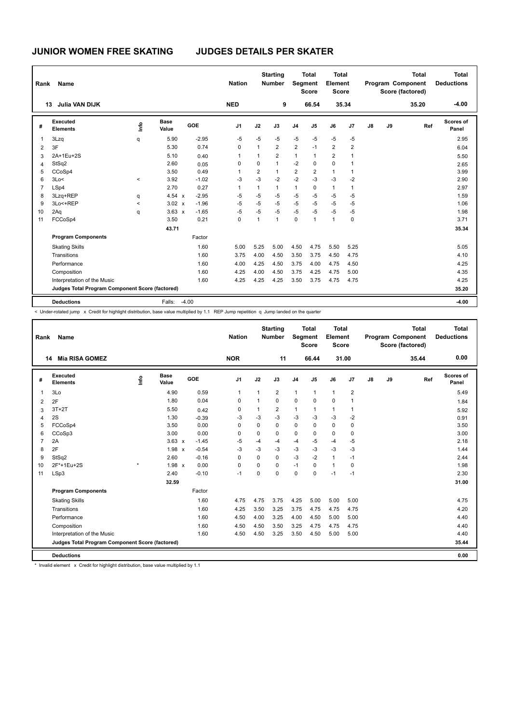| Rank           | Name                                            |         |                      |         | <b>Nation</b>  |              | <b>Starting</b><br><b>Number</b> |                | <b>Total</b><br>Segment<br><b>Score</b> | <b>Total</b><br>Element<br><b>Score</b> |              |    |    | <b>Total</b><br>Program Component<br>Score (factored) | <b>Total</b><br><b>Deductions</b> |
|----------------|-------------------------------------------------|---------|----------------------|---------|----------------|--------------|----------------------------------|----------------|-----------------------------------------|-----------------------------------------|--------------|----|----|-------------------------------------------------------|-----------------------------------|
|                | <b>Julia VAN DIJK</b><br>13                     |         |                      |         | <b>NED</b>     |              | 9                                |                | 66.54                                   |                                         | 35.34        |    |    | 35.20                                                 | $-4.00$                           |
| #              | Executed<br><b>Elements</b>                     | ١mfo    | <b>Base</b><br>Value | GOE     | J <sub>1</sub> | J2           | J3                               | J <sub>4</sub> | J5                                      | J6                                      | J7           | J8 | J9 | Ref                                                   | <b>Scores of</b><br>Panel         |
| 1              | 3Lzq                                            | q       | 5.90                 | $-2.95$ | $-5$           | $-5$         | $-5$                             | $-5$           | $-5$                                    | $-5$                                    | $-5$         |    |    |                                                       | 2.95                              |
| 2              | 3F                                              |         | 5.30                 | 0.74    | 0              | 1            | 2                                | $\overline{2}$ | $-1$                                    | $\overline{2}$                          | 2            |    |    |                                                       | 6.04                              |
| 3              | 2A+1Eu+2S                                       |         | 5.10                 | 0.40    |                | 1            | $\overline{2}$                   | $\mathbf{1}$   | 1                                       | $\overline{2}$                          |              |    |    |                                                       | 5.50                              |
| 4              | StSq2                                           |         | 2.60                 | 0.05    | 0              | $\Omega$     | $\mathbf{1}$                     | $-2$           | $\Omega$                                | $\mathbf 0$                             |              |    |    |                                                       | 2.65                              |
| 5              | CCoSp4                                          |         | 3.50                 | 0.49    |                | 2            | $\mathbf{1}$                     | 2              | 2                                       | $\mathbf{1}$                            | 1            |    |    |                                                       | 3.99                              |
| 6              | 3Lo<                                            | $\prec$ | 3.92                 | $-1.02$ | -3             | $-3$         | $-2$                             | $-2$           | $-3$                                    | $-3$                                    | $-2$         |    |    |                                                       | 2.90                              |
| $\overline{7}$ | LSp4                                            |         | 2.70                 | 0.27    | 1              | $\mathbf{1}$ | $\mathbf{1}$                     | $\mathbf{1}$   | $\mathbf 0$                             | $\mathbf{1}$                            | $\mathbf{1}$ |    |    |                                                       | 2.97                              |
| 8              | 3Lzq+REP                                        | q       | 4.54 x               | $-2.95$ | $-5$           | $-5$         | $-5$                             | $-5$           | $-5$                                    | $-5$                                    | $-5$         |    |    |                                                       | 1.59                              |
| 9              | 3Lo<+REP                                        | $\prec$ | $3.02 \times$        | $-1.96$ | $-5$           | $-5$         | $-5$                             | $-5$           | $-5$                                    | $-5$                                    | $-5$         |    |    |                                                       | 1.06                              |
| 10             | 2Aq                                             | q       | $3.63 \times$        | $-1.65$ | $-5$           | $-5$         | $-5$                             | $-5$           | $-5$                                    | $-5$                                    | $-5$         |    |    |                                                       | 1.98                              |
| 11             | FCCoSp4                                         |         | 3.50                 | 0.21    | 0              | $\mathbf{1}$ | $\overline{1}$                   | $\mathbf 0$    | 1                                       | $\overline{1}$                          | $\mathbf 0$  |    |    |                                                       | 3.71                              |
|                |                                                 |         | 43.71                |         |                |              |                                  |                |                                         |                                         |              |    |    |                                                       | 35.34                             |
|                | <b>Program Components</b>                       |         |                      | Factor  |                |              |                                  |                |                                         |                                         |              |    |    |                                                       |                                   |
|                | <b>Skating Skills</b>                           |         |                      | 1.60    | 5.00           | 5.25         | 5.00                             | 4.50           | 4.75                                    | 5.50                                    | 5.25         |    |    |                                                       | 5.05                              |
|                | Transitions                                     |         |                      | 1.60    | 3.75           | 4.00         | 4.50                             | 3.50           | 3.75                                    | 4.50                                    | 4.75         |    |    |                                                       | 4.10                              |
|                | Performance                                     |         |                      | 1.60    | 4.00           | 4.25         | 4.50                             | 3.75           | 4.00                                    | 4.75                                    | 4.50         |    |    |                                                       | 4.25                              |
|                | Composition                                     |         |                      | 1.60    | 4.25           | 4.00         | 4.50                             | 3.75           | 4.25                                    | 4.75                                    | 5.00         |    |    |                                                       | 4.35                              |
|                | Interpretation of the Music                     |         |                      | 1.60    | 4.25           | 4.25         | 4.25                             | 3.50           | 3.75                                    | 4.75                                    | 4.75         |    |    |                                                       | 4.25                              |
|                | Judges Total Program Component Score (factored) |         |                      |         |                |              |                                  |                |                                         |                                         |              |    |    |                                                       | 35.20                             |
|                | <b>Deductions</b>                               |         | Falls:               | $-4.00$ |                |              |                                  |                |                                         |                                         |              |    |    |                                                       | $-4.00$                           |

< Under-rotated jump x Credit for highlight distribution, base value multiplied by 1.1 REP Jump repetition q Jump landed on the quarter

| Rank           | <b>Name</b>                                     |    |                      |         | <b>Nation</b>  |              | <b>Starting</b><br><b>Number</b> | <b>Segment</b> | Total<br><b>Score</b> | Total<br>Element<br>Score |                |    |    | <b>Total</b><br>Program Component<br>Score (factored) | Total<br><b>Deductions</b> |
|----------------|-------------------------------------------------|----|----------------------|---------|----------------|--------------|----------------------------------|----------------|-----------------------|---------------------------|----------------|----|----|-------------------------------------------------------|----------------------------|
|                | <b>Mia RISA GOMEZ</b><br>14                     |    |                      |         | <b>NOR</b>     |              | 11                               |                | 66.44                 | 31.00                     |                |    |    | 35.44                                                 | 0.00                       |
| #              | Executed<br><b>Elements</b>                     | ۴٥ | <b>Base</b><br>Value | GOE     | J <sub>1</sub> | J2           | J3                               | J <sub>4</sub> | J <sub>5</sub>        | J6                        | J <sub>7</sub> | J8 | J9 | Ref                                                   | Scores of<br>Panel         |
| $\overline{1}$ | 3Lo                                             |    | 4.90                 | 0.59    | $\mathbf{1}$   | $\mathbf{1}$ | $\overline{2}$                   | $\mathbf{1}$   | $\mathbf{1}$          | $\mathbf{1}$              | $\overline{2}$ |    |    |                                                       | 5.49                       |
| 2              | 2F                                              |    | 1.80                 | 0.04    | 0              | 1            | $\Omega$                         | 0              | $\Omega$              | 0                         | $\overline{1}$ |    |    |                                                       | 1.84                       |
| 3              | $3T+2T$                                         |    | 5.50                 | 0.42    | 0              | 1            | $\overline{2}$                   | $\mathbf{1}$   | $\mathbf{1}$          | $\mathbf{1}$              | $\overline{1}$ |    |    |                                                       | 5.92                       |
| 4              | 2S                                              |    | 1.30                 | $-0.39$ | -3             | $-3$         | $-3$                             | $-3$           | $-3$                  | $-3$                      | $-2$           |    |    |                                                       | 0.91                       |
| 5              | FCCoSp4                                         |    | 3.50                 | 0.00    | 0              | $\Omega$     | $\Omega$                         | $\mathbf 0$    | $\Omega$              | 0                         | 0              |    |    |                                                       | 3.50                       |
| 6              | CCoSp3                                          |    | 3.00                 | 0.00    | 0              | 0            | $\Omega$                         | $\mathbf 0$    | $\Omega$              | 0                         | 0              |    |    |                                                       | 3.00                       |
| $\overline{7}$ | 2A                                              |    | $3.63 \times$        | $-1.45$ | $-5$           | $-4$         | -4                               | $-4$           | $-5$                  | $-4$                      | $-5$           |    |    |                                                       | 2.18                       |
| 8              | 2F                                              |    | $1.98 \times$        | $-0.54$ | $-3$           | -3           | $-3$                             | $-3$           | $-3$                  | $-3$                      | $-3$           |    |    |                                                       | 1.44                       |
| 9              | StSq2                                           |    | 2.60                 | $-0.16$ | $\Omega$       | $\Omega$     | $\Omega$                         | $-3$           | $-2$                  | $\mathbf{1}$              | $-1$           |    |    |                                                       | 2.44                       |
| 10             | 2F*+1Eu+2S                                      |    | 1.98 x               | 0.00    | 0              | 0            | 0                                | $-1$           | $\Omega$              | $\mathbf{1}$              | $\mathbf 0$    |    |    |                                                       | 1.98                       |
| 11             | LSp3                                            |    | 2.40                 | $-0.10$ | $-1$           | $\mathbf 0$  | 0                                | $\mathbf 0$    | $\mathbf 0$           | $-1$                      | $-1$           |    |    |                                                       | 2.30                       |
|                |                                                 |    | 32.59                |         |                |              |                                  |                |                       |                           |                |    |    |                                                       | 31.00                      |
|                | <b>Program Components</b>                       |    |                      | Factor  |                |              |                                  |                |                       |                           |                |    |    |                                                       |                            |
|                | <b>Skating Skills</b>                           |    |                      | 1.60    | 4.75           | 4.75         | 3.75                             | 4.25           | 5.00                  | 5.00                      | 5.00           |    |    |                                                       | 4.75                       |
|                | Transitions                                     |    |                      | 1.60    | 4.25           | 3.50         | 3.25                             | 3.75           | 4.75                  | 4.75                      | 4.75           |    |    |                                                       | 4.20                       |
|                | Performance                                     |    |                      | 1.60    | 4.50           | 4.00         | 3.25                             | 4.00           | 4.50                  | 5.00                      | 5.00           |    |    |                                                       | 4.40                       |
|                | Composition                                     |    |                      | 1.60    | 4.50           | 4.50         | 3.50                             | 3.25           | 4.75                  | 4.75                      | 4.75           |    |    |                                                       | 4.40                       |
|                | Interpretation of the Music                     |    |                      | 1.60    | 4.50           | 4.50         | 3.25                             | 3.50           | 4.50                  | 5.00                      | 5.00           |    |    |                                                       | 4.40                       |
|                | Judges Total Program Component Score (factored) |    |                      |         |                |              |                                  |                |                       |                           |                |    |    |                                                       | 35.44                      |
|                | <b>Deductions</b>                               |    |                      |         |                |              |                                  |                |                       |                           |                |    |    |                                                       | 0.00                       |

\* Invalid element x Credit for highlight distribution, base value multiplied by 1.1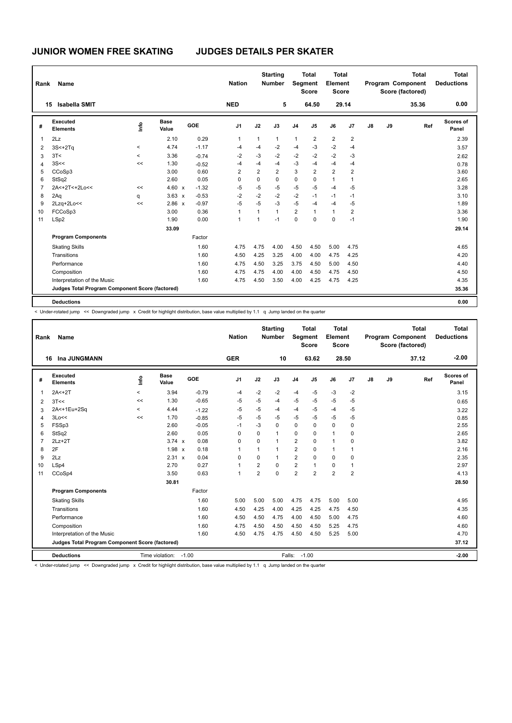| Rank           | Name                                            |          |                      |            | <b>Nation</b>  |                | <b>Starting</b><br><b>Number</b> |                | <b>Total</b><br>Segment<br><b>Score</b> | <b>Total</b><br>Element<br><b>Score</b> |                |    |    | <b>Total</b><br>Program Component<br>Score (factored) | <b>Total</b><br><b>Deductions</b> |
|----------------|-------------------------------------------------|----------|----------------------|------------|----------------|----------------|----------------------------------|----------------|-----------------------------------------|-----------------------------------------|----------------|----|----|-------------------------------------------------------|-----------------------------------|
| 15             | <b>Isabella SMIT</b>                            |          |                      |            | <b>NED</b>     |                | 5                                |                | 64.50                                   |                                         | 29.14          |    |    | 35.36                                                 | 0.00                              |
| #              | Executed<br><b>Elements</b>                     | ١mfo     | <b>Base</b><br>Value | <b>GOE</b> | J <sub>1</sub> | J2             | J3                               | J <sub>4</sub> | J5                                      | J6                                      | J7             | J8 | J9 | Ref                                                   | Scores of<br>Panel                |
| $\mathbf{1}$   | 2Lz                                             |          | 2.10                 | 0.29       | 1              | 1              | $\mathbf{1}$                     | $\mathbf{1}$   | $\overline{2}$                          | $\overline{2}$                          | $\overline{c}$ |    |    |                                                       | 2.39                              |
| 2              | $3S<+2Tq$                                       | $\prec$  | 4.74                 | $-1.17$    | $-4$           | $-4$           | $-2$                             | $-4$           | $-3$                                    | $-2$                                    | $-4$           |    |    |                                                       | 3.57                              |
| 3              | 3T<                                             | $\hat{}$ | 3.36                 | $-0.74$    | $-2$           | $-3$           | $-2$                             | $-2$           | $-2$                                    | $-2$                                    | $-3$           |    |    |                                                       | 2.62                              |
| $\overline{4}$ | 3S<<                                            | <<       | 1.30                 | $-0.52$    | $-4$           | $-4$           | -4                               | $-3$           | $-4$                                    | $-4$                                    | $-4$           |    |    |                                                       | 0.78                              |
| 5              | CCoSp3                                          |          | 3.00                 | 0.60       | 2              | $\overline{2}$ | $\overline{2}$                   | 3              | $\overline{2}$                          | $\overline{2}$                          | 2              |    |    |                                                       | 3.60                              |
| 6              | StSq2                                           |          | 2.60                 | 0.05       | 0              | $\mathbf 0$    | $\mathbf 0$                      | $\pmb{0}$      | 0                                       | $\mathbf{1}$                            | $\mathbf{1}$   |    |    |                                                       | 2.65                              |
| $\overline{7}$ | 2A<+2T<+2Lo<<                                   | <<       | 4.60 $x$             | $-1.32$    | $-5$           | $-5$           | -5                               | $-5$           | $-5$                                    | $-4$                                    | $-5$           |    |    |                                                       | 3.28                              |
| 8              | 2Aq                                             | q        | $3.63 \times$        | $-0.53$    | $-2$           | $-2$           | $-2$                             | $-2$           | $-1$                                    | $-1$                                    | $-1$           |    |    |                                                       | 3.10                              |
| 9              | 2Lzq+2Lo<<                                      | <<       | $2.86 \times$        | $-0.97$    | $-5$           | $-5$           | $-3$                             | $-5$           | $-4$                                    | $-4$                                    | $-5$           |    |    |                                                       | 1.89                              |
| 10             | FCCoSp3                                         |          | 3.00                 | 0.36       | 1              | 1              | $\mathbf{1}$                     | $\overline{2}$ | 1                                       | $\mathbf{1}$                            | $\overline{2}$ |    |    |                                                       | 3.36                              |
| 11             | LSp2                                            |          | 1.90                 | 0.00       | 1              | 1              | $-1$                             | $\mathbf 0$    | $\Omega$                                | 0                                       | $-1$           |    |    |                                                       | 1.90                              |
|                |                                                 |          | 33.09                |            |                |                |                                  |                |                                         |                                         |                |    |    |                                                       | 29.14                             |
|                | <b>Program Components</b>                       |          |                      | Factor     |                |                |                                  |                |                                         |                                         |                |    |    |                                                       |                                   |
|                | <b>Skating Skills</b>                           |          |                      | 1.60       | 4.75           | 4.75           | 4.00                             | 4.50           | 4.50                                    | 5.00                                    | 4.75           |    |    |                                                       | 4.65                              |
|                | Transitions                                     |          |                      | 1.60       | 4.50           | 4.25           | 3.25                             | 4.00           | 4.00                                    | 4.75                                    | 4.25           |    |    |                                                       | 4.20                              |
|                | Performance                                     |          |                      | 1.60       | 4.75           | 4.50           | 3.25                             | 3.75           | 4.50                                    | 5.00                                    | 4.50           |    |    |                                                       | 4.40                              |
|                | Composition                                     |          |                      | 1.60       | 4.75           | 4.75           | 4.00                             | 4.00           | 4.50                                    | 4.75                                    | 4.50           |    |    |                                                       | 4.50                              |
|                | Interpretation of the Music                     |          |                      | 1.60       | 4.75           | 4.50           | 3.50                             | 4.00           | 4.25                                    | 4.75                                    | 4.25           |    |    |                                                       | 4.35                              |
|                | Judges Total Program Component Score (factored) |          |                      |            |                |                |                                  |                |                                         |                                         |                |    |    |                                                       | 35.36                             |
|                | <b>Deductions</b>                               |          |                      |            |                |                |                                  |                |                                         |                                         |                |    |    |                                                       | 0.00                              |

< Under-rotated jump << Downgraded jump x Credit for highlight distribution, base value multiplied by 1.1 q Jump landed on the quarter

| Rank           | Name                                            |                          |                 |         | <b>Nation</b>  |                | <b>Starting</b><br><b>Number</b> |                | <b>Total</b><br>Segment<br><b>Score</b> | Total<br>Element<br><b>Score</b> |                |    |    | <b>Total</b><br>Program Component<br>Score (factored) | <b>Total</b><br><b>Deductions</b> |
|----------------|-------------------------------------------------|--------------------------|-----------------|---------|----------------|----------------|----------------------------------|----------------|-----------------------------------------|----------------------------------|----------------|----|----|-------------------------------------------------------|-----------------------------------|
|                | Ina JUNGMANN<br>16                              |                          |                 |         | <b>GER</b>     |                | 10                               |                | 63.62                                   |                                  | 28.50          |    |    | 37.12                                                 | $-2.00$                           |
| #              | Executed<br><b>Elements</b>                     | lnfo                     | Base<br>Value   | GOE     | J <sub>1</sub> | J2             | J3                               | J <sub>4</sub> | J <sub>5</sub>                          | J6                               | J <sub>7</sub> | J8 | J9 | Ref                                                   | Scores of<br>Panel                |
| 1              | $2A < +2T$                                      | $\overline{\phantom{a}}$ | 3.94            | $-0.79$ | $-4$           | $-2$           | $-2$                             | $-4$           | $-5$                                    | $-3$                             | $-2$           |    |    |                                                       | 3.15                              |
| 2              | 3T<<                                            | <<                       | 1.30            | $-0.65$ | $-5$           | $-5$           | $-4$                             | $-5$           | $-5$                                    | $-5$                             | $-5$           |    |    |                                                       | 0.65                              |
| 3              | 2A<+1Eu+2Sq                                     | $\prec$                  | 4.44            | $-1.22$ | $-5$           | $-5$           | $-4$                             | $-4$           | $-5$                                    | $-4$                             | $-5$           |    |    |                                                       | 3.22                              |
| 4              | 3Lo<<                                           | <<                       | 1.70            | $-0.85$ | $-5$           | $-5$           | $-5$                             | $-5$           | $-5$                                    | $-5$                             | $-5$           |    |    |                                                       | 0.85                              |
| 5              | FSSp3                                           |                          | 2.60            | $-0.05$ | $-1$           | $-3$           | $\Omega$                         | $\Omega$       | 0                                       | $\Omega$                         | 0              |    |    |                                                       | 2.55                              |
| 6              | StSq2                                           |                          | 2.60            | 0.05    | $\Omega$       | $\Omega$       | $\mathbf{1}$                     | $\Omega$       | $\Omega$                                | $\mathbf{1}$                     | 0              |    |    |                                                       | 2.65                              |
| $\overline{7}$ | $2Lz+2T$                                        |                          | $3.74 \times$   | 0.08    | $\Omega$       | $\Omega$       | $\overline{1}$                   | $\overline{2}$ | 0                                       | $\mathbf{1}$                     | $\Omega$       |    |    |                                                       | 3.82                              |
| 8              | 2F                                              |                          | $1.98 \times$   | 0.18    | 1              | 1              | $\mathbf{1}$                     | 2              | 0                                       | $\mathbf{1}$                     | 1              |    |    |                                                       | 2.16                              |
| 9              | 2Lz                                             |                          | 2.31 x          | 0.04    | $\Omega$       | $\Omega$       | $\mathbf{1}$                     | $\overline{2}$ | $\Omega$                                | $\Omega$                         | 0              |    |    |                                                       | 2.35                              |
| 10             | LSp4                                            |                          | 2.70            | 0.27    | 1              | $\overline{2}$ | $\Omega$                         | $\overline{2}$ | 1                                       | $\mathbf 0$                      | 1              |    |    |                                                       | 2.97                              |
| 11             | CCoSp4                                          |                          | 3.50            | 0.63    | 1              | $\overline{2}$ | $\Omega$                         | $\overline{2}$ | $\overline{2}$                          | $\overline{2}$                   | $\overline{2}$ |    |    |                                                       | 4.13                              |
|                |                                                 |                          | 30.81           |         |                |                |                                  |                |                                         |                                  |                |    |    |                                                       | 28.50                             |
|                | <b>Program Components</b>                       |                          |                 | Factor  |                |                |                                  |                |                                         |                                  |                |    |    |                                                       |                                   |
|                | <b>Skating Skills</b>                           |                          |                 | 1.60    | 5.00           | 5.00           | 5.00                             | 4.75           | 4.75                                    | 5.00                             | 5.00           |    |    |                                                       | 4.95                              |
|                | Transitions                                     |                          |                 | 1.60    | 4.50           | 4.25           | 4.00                             | 4.25           | 4.25                                    | 4.75                             | 4.50           |    |    |                                                       | 4.35                              |
|                | Performance                                     |                          |                 | 1.60    | 4.50           | 4.50           | 4.75                             | 4.00           | 4.50                                    | 5.00                             | 4.75           |    |    |                                                       | 4.60                              |
|                | Composition                                     |                          |                 | 1.60    | 4.75           | 4.50           | 4.50                             | 4.50           | 4.50                                    | 5.25                             | 4.75           |    |    |                                                       | 4.60                              |
|                | Interpretation of the Music                     |                          |                 | 1.60    | 4.50           | 4.75           | 4.75                             | 4.50           | 4.50                                    | 5.25                             | 5.00           |    |    |                                                       | 4.70                              |
|                | Judges Total Program Component Score (factored) |                          |                 |         |                |                |                                  |                |                                         |                                  |                |    |    |                                                       | 37.12                             |
|                | <b>Deductions</b>                               |                          | Time violation: | $-1.00$ |                |                |                                  | Falls:         | $-1.00$                                 |                                  |                |    |    |                                                       | $-2.00$                           |

< Under-rotated jump << Downgraded jump x Credit for highlight distribution, base value multiplied by 1.1 q Jump landed on the quarter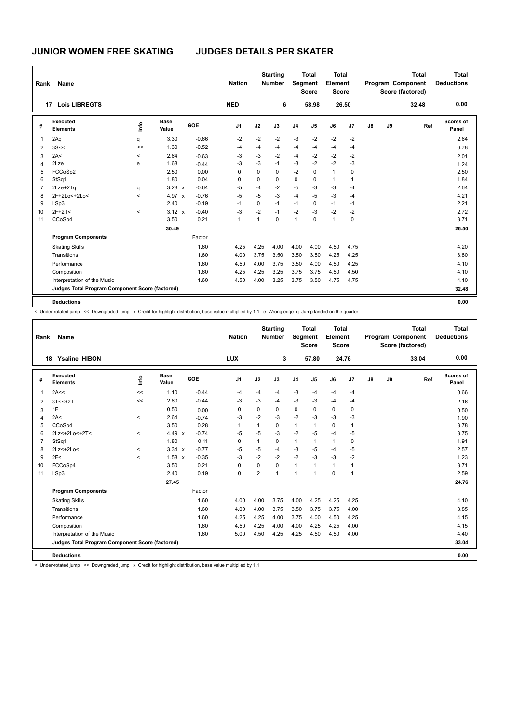| Rank           | <b>Name</b>                                     |                          |                      |         | <b>Nation</b>  |          | <b>Starting</b><br><b>Number</b> |                | <b>Total</b><br><b>Segment</b><br><b>Score</b> | Total<br>Element<br><b>Score</b> |              |               |    | <b>Total</b><br>Program Component<br>Score (factored) | <b>Total</b><br><b>Deductions</b> |
|----------------|-------------------------------------------------|--------------------------|----------------------|---------|----------------|----------|----------------------------------|----------------|------------------------------------------------|----------------------------------|--------------|---------------|----|-------------------------------------------------------|-----------------------------------|
|                | <b>Lois LIBREGTS</b><br>17                      |                          |                      |         | <b>NED</b>     |          | 6                                |                | 58.98                                          |                                  | 26.50        |               |    | 32.48                                                 | 0.00                              |
| #              | Executed<br><b>Elements</b>                     | ١mfo                     | <b>Base</b><br>Value | GOE     | J <sub>1</sub> | J2       | J3                               | J <sub>4</sub> | J5                                             | J6                               | J7           | $\mathsf{J}8$ | J9 | Ref                                                   | Scores of<br>Panel                |
| 1              | 2Aq                                             | q                        | 3.30                 | $-0.66$ | $-2$           | $-2$     | $-2$                             | $-3$           | $-2$                                           | $-2$                             | $-2$         |               |    |                                                       | 2.64                              |
| 2              | 3S<<                                            | <<                       | 1.30                 | $-0.52$ | $-4$           | -4       | $-4$                             | $-4$           | $-4$                                           | $-4$                             | $-4$         |               |    |                                                       | 0.78                              |
| 3              | 2A<                                             | $\,<\,$                  | 2.64                 | $-0.63$ | $-3$           | $-3$     | $-2$                             | $-4$           | $-2$                                           | $-2$                             | $-2$         |               |    |                                                       | 2.01                              |
| 4              | 2Lze                                            | e                        | 1.68                 | $-0.44$ | $-3$           | $-3$     | $-1$                             | $-3$           | $-2$                                           | $-2$                             | $-3$         |               |    |                                                       | 1.24                              |
| 5              | FCCoSp2                                         |                          | 2.50                 | 0.00    | 0              | $\Omega$ | $\Omega$                         | $-2$           | $\mathbf 0$                                    | $\overline{1}$                   | 0            |               |    |                                                       | 2.50                              |
| 6              | StSq1                                           |                          | 1.80                 | 0.04    | 0              | 0        | 0                                | 0              | 0                                              | $\mathbf{1}$                     | $\mathbf{1}$ |               |    |                                                       | 1.84                              |
| $\overline{7}$ | 2Lze+2Tq                                        | q                        | $3.28 \times$        | $-0.64$ | $-5$           | $-4$     | $-2$                             | $-5$           | $-3$                                           | $-3$                             | $-4$         |               |    |                                                       | 2.64                              |
| 8              | 2F+2Lo<+2Lo<                                    | $\overline{\phantom{0}}$ | 4.97 x               | $-0.76$ | $-5$           | $-5$     | $-3$                             | $-4$           | $-5$                                           | $-3$                             | -4           |               |    |                                                       | 4.21                              |
| 9              | LSp3                                            |                          | 2.40                 | $-0.19$ | $-1$           | 0        | $-1$                             | $-1$           | $\mathbf 0$                                    | $-1$                             | $-1$         |               |    |                                                       | 2.21                              |
| 10             | $2F+2T<$                                        | $\prec$                  | $3.12 \times$        | $-0.40$ | -3             | $-2$     | $-1$                             | $-2$           | -3                                             | $-2$                             | $-2$         |               |    |                                                       | 2.72                              |
| 11             | CCoSp4                                          |                          | 3.50                 | 0.21    | 1              | 1        | $\mathbf 0$                      | $\mathbf{1}$   | $\mathbf 0$                                    | $\mathbf{1}$                     | $\mathbf 0$  |               |    |                                                       | 3.71                              |
|                |                                                 |                          | 30.49                |         |                |          |                                  |                |                                                |                                  |              |               |    |                                                       | 26.50                             |
|                | <b>Program Components</b>                       |                          |                      | Factor  |                |          |                                  |                |                                                |                                  |              |               |    |                                                       |                                   |
|                | <b>Skating Skills</b>                           |                          |                      | 1.60    | 4.25           | 4.25     | 4.00                             | 4.00           | 4.00                                           | 4.50                             | 4.75         |               |    |                                                       | 4.20                              |
|                | Transitions                                     |                          |                      | 1.60    | 4.00           | 3.75     | 3.50                             | 3.50           | 3.50                                           | 4.25                             | 4.25         |               |    |                                                       | 3.80                              |
|                | Performance                                     |                          |                      | 1.60    | 4.50           | 4.00     | 3.75                             | 3.50           | 4.00                                           | 4.50                             | 4.25         |               |    |                                                       | 4.10                              |
|                | Composition                                     |                          |                      | 1.60    | 4.25           | 4.25     | 3.25                             | 3.75           | 3.75                                           | 4.50                             | 4.50         |               |    |                                                       | 4.10                              |
|                | Interpretation of the Music                     |                          |                      | 1.60    | 4.50           | 4.00     | 3.25                             | 3.75           | 3.50                                           | 4.75                             | 4.75         |               |    |                                                       | 4.10                              |
|                | Judges Total Program Component Score (factored) |                          |                      |         |                |          |                                  |                |                                                |                                  |              |               |    |                                                       | 32.48                             |
|                | <b>Deductions</b>                               |                          |                      |         |                |          |                                  |                |                                                |                                  |              |               |    |                                                       | 0.00                              |

< Under-rotated jump << Downgraded jump x Credit for highlight distribution, base value multiplied by 1.1 e Wrong edge q Jump landed on the quarter

| Rank           | Name                                            |         |               |            | <b>Nation</b>  |          | <b>Starting</b><br><b>Number</b> | <b>Segment</b> | <b>Total</b><br><b>Score</b> | <b>Total</b><br>Element<br><b>Score</b> |                |               |    | <b>Total</b><br>Program Component<br>Score (factored) | <b>Total</b><br><b>Deductions</b> |
|----------------|-------------------------------------------------|---------|---------------|------------|----------------|----------|----------------------------------|----------------|------------------------------|-----------------------------------------|----------------|---------------|----|-------------------------------------------------------|-----------------------------------|
|                | <b>Ysaline HIBON</b><br>18                      |         |               |            | <b>LUX</b>     |          | 3                                |                | 57.80                        |                                         | 24.76          |               |    | 33.04                                                 | 0.00                              |
| #              | Executed<br><b>Elements</b>                     | lnfo    | Base<br>Value | <b>GOE</b> | J <sub>1</sub> | J2       | J3                               | J <sub>4</sub> | J5                           | J6                                      | J <sub>7</sub> | $\mathsf{J}8$ | J9 | Ref                                                   | Scores of<br>Panel                |
| 1              | 2A<<                                            | $\prec$ | 1.10          | $-0.44$    | -4             | $-4$     | $-4$                             | $-3$           | $-4$                         | $-4$                                    | -4             |               |    |                                                       | 0.66                              |
| 2              | $3T < +2T$                                      | <<      | 2.60          | $-0.44$    | -3             | $-3$     | $-4$                             | $-3$           | -3                           | $-4$                                    | $-4$           |               |    |                                                       | 2.16                              |
| 3              | 1F                                              |         | 0.50          | 0.00       | 0              | 0        | 0                                | $\mathbf 0$    | 0                            | $\mathbf 0$                             | 0              |               |    |                                                       | 0.50                              |
| 4              | 2A<                                             | $\prec$ | 2.64          | $-0.74$    | -3             | $-2$     | $-3$                             | $-2$           | $-3$                         | $-3$                                    | -3             |               |    |                                                       | 1.90                              |
| 5              | CCoSp4                                          |         | 3.50          | 0.28       | $\mathbf{1}$   | 1        | $\Omega$                         | $\mathbf{1}$   | 1                            | $\mathbf 0$                             | $\overline{1}$ |               |    |                                                       | 3.78                              |
| 6              | 2Lz<+2Lo<+2T<                                   | $\prec$ | 4.49 $x$      | $-0.74$    | $-5$           | $-5$     | $-3$                             | $-2$           | $-5$                         | $-4$                                    | $-5$           |               |    |                                                       | 3.75                              |
| $\overline{7}$ | StSq1                                           |         | 1.80          | 0.11       | 0              | 1        | 0                                | $\mathbf{1}$   | 1                            | $\mathbf{1}$                            | 0              |               |    |                                                       | 1.91                              |
| 8              | 2Lz <+ 2Lo <                                    | $\prec$ | $3.34 \times$ | $-0.77$    | $-5$           | $-5$     | $-4$                             | $-3$           | $-5$                         | $-4$                                    | $-5$           |               |    |                                                       | 2.57                              |
| 9              | 2F<                                             | $\prec$ | 1.58 x        | $-0.35$    | $-3$           | $-2$     | $-2$                             | $-2$           | $-3$                         | $-3$                                    | $-2$           |               |    |                                                       | 1.23                              |
| 10             | FCCoSp4                                         |         | 3.50          | 0.21       | $\Omega$       | $\Omega$ | $\Omega$                         | $\mathbf{1}$   | $\mathbf{1}$                 | $\mathbf{1}$                            | $\overline{1}$ |               |    |                                                       | 3.71                              |
| 11             | LSp3                                            |         | 2.40          | 0.19       | $\mathbf 0$    | 2        | $\mathbf{1}$                     | $\mathbf{1}$   | $\overline{1}$               | $\mathbf 0$                             | $\overline{1}$ |               |    |                                                       | 2.59                              |
|                |                                                 |         | 27.45         |            |                |          |                                  |                |                              |                                         |                |               |    |                                                       | 24.76                             |
|                | <b>Program Components</b>                       |         |               | Factor     |                |          |                                  |                |                              |                                         |                |               |    |                                                       |                                   |
|                | <b>Skating Skills</b>                           |         |               | 1.60       | 4.00           | 4.00     | 3.75                             | 4.00           | 4.25                         | 4.25                                    | 4.25           |               |    |                                                       | 4.10                              |
|                | Transitions                                     |         |               | 1.60       | 4.00           | 4.00     | 3.75                             | 3.50           | 3.75                         | 3.75                                    | 4.00           |               |    |                                                       | 3.85                              |
|                | Performance                                     |         |               | 1.60       | 4.25           | 4.25     | 4.00                             | 3.75           | 4.00                         | 4.50                                    | 4.25           |               |    |                                                       | 4.15                              |
|                | Composition                                     |         |               | 1.60       | 4.50           | 4.25     | 4.00                             | 4.00           | 4.25                         | 4.25                                    | 4.00           |               |    |                                                       | 4.15                              |
|                | Interpretation of the Music                     |         |               | 1.60       | 5.00           | 4.50     | 4.25                             | 4.25           | 4.50                         | 4.50                                    | 4.00           |               |    |                                                       | 4.40                              |
|                | Judges Total Program Component Score (factored) |         |               |            |                |          |                                  |                |                              |                                         |                |               |    |                                                       | 33.04                             |
|                | <b>Deductions</b>                               |         |               |            |                |          |                                  |                |                              |                                         |                |               |    |                                                       | 0.00                              |
|                |                                                 |         |               |            |                |          |                                  |                |                              |                                         |                |               |    |                                                       |                                   |

< Under-rotated jump << Downgraded jump x Credit for highlight distribution, base value multiplied by 1.1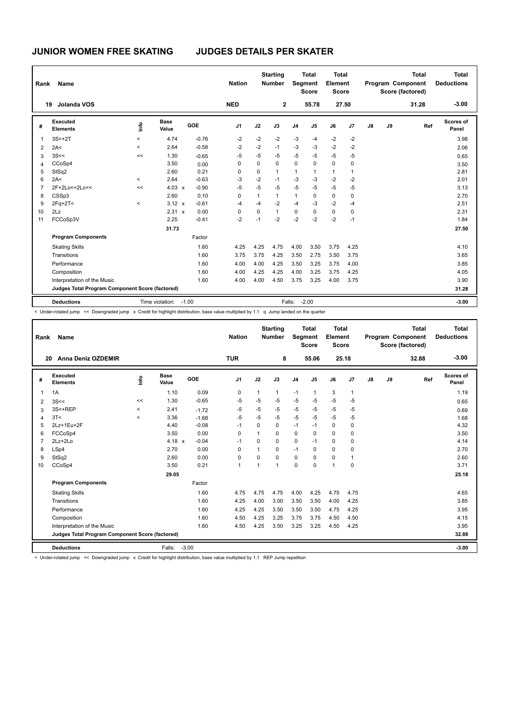| Rank           | Name                                            |          |                       |            | <b>Nation</b> |              | <b>Starting</b><br><b>Number</b> |                | <b>Total</b><br>Segment<br><b>Score</b> | <b>Total</b><br>Element<br><b>Score</b> |             |               |    | <b>Total</b><br>Program Component<br>Score (factored) | <b>Total</b><br><b>Deductions</b> |
|----------------|-------------------------------------------------|----------|-----------------------|------------|---------------|--------------|----------------------------------|----------------|-----------------------------------------|-----------------------------------------|-------------|---------------|----|-------------------------------------------------------|-----------------------------------|
| 19             | Jolanda VOS                                     |          |                       |            | <b>NED</b>    |              | $\mathbf{2}$                     |                | 55.78                                   |                                         | 27.50       |               |    | 31.28                                                 | $-3.00$                           |
| #              | Executed<br><b>Elements</b>                     | ١m       | <b>Base</b><br>Value  | <b>GOE</b> | J1            | J2           | J3                               | J <sub>4</sub> | J5                                      | J6                                      | J7          | $\mathsf{J}8$ | J9 | Ref                                                   | Scores of<br>Panel                |
| 1              | $3S<+2T$                                        | $\prec$  | 4.74                  | $-0.76$    | $-2$          | $-2$         | $-2$                             | $-3$           | $-4$                                    | $-2$                                    | $-2$        |               |    |                                                       | 3.98                              |
| 2              | 2A<                                             | $\prec$  | 2.64                  | $-0.58$    | $-2$          | $-2$         | $-1$                             | $-3$           | $-3$                                    | $-2$                                    | $-2$        |               |    |                                                       | 2.06                              |
| 3              | 3S<<                                            | <<       | 1.30                  | $-0.65$    | $-5$          | $-5$         | -5                               | $-5$           | $-5$                                    | $-5$                                    | $-5$        |               |    |                                                       | 0.65                              |
| 4              | CCoSp4                                          |          | 3.50                  | 0.00       | 0             | 0            | $\mathbf 0$                      | $\mathbf 0$    | 0                                       | $\mathbf 0$                             | 0           |               |    |                                                       | 3.50                              |
| 5              | StSq2                                           |          | 2.60                  | 0.21       | $\Omega$      | $\Omega$     | $\mathbf{1}$                     | $\mathbf{1}$   | 1                                       | $\mathbf{1}$                            | 1           |               |    |                                                       | 2.81                              |
| 6              | 2A<                                             | $\hat{}$ | 2.64                  | $-0.63$    | -3            | $-2$         | $-1$                             | $-3$           | $-3$                                    | $-2$                                    | $-2$        |               |    |                                                       | 2.01                              |
| $\overline{7}$ | 2F+2Lo<+2Lo<<                                   | <<       | $4.03 \times$         | $-0.90$    | $-5$          | $-5$         | $-5$                             | $-5$           | $-5$                                    | $-5$                                    | $-5$        |               |    |                                                       | 3.13                              |
| 8              | CSSp3                                           |          | 2.60                  | 0.10       | 0             | $\mathbf{1}$ | $\mathbf{1}$                     | $\mathbf{1}$   | 0                                       | 0                                       | 0           |               |    |                                                       | 2.70                              |
| 9              | $2Fq+2T<$                                       | $\prec$  | $3.12 \times$         | $-0.61$    | $-4$          | $-4$         | $-2$                             | $-4$           | $-3$                                    | $-2$                                    | $-4$        |               |    |                                                       | 2.51                              |
| 10             | 2Lz                                             |          | $2.31 \times$         | 0.00       | 0             | 0            | $\mathbf{1}$                     | $\mathbf 0$    | 0                                       | $\mathbf 0$                             | $\mathbf 0$ |               |    |                                                       | 2.31                              |
| 11             | FCCoSp3V                                        |          | 2.25                  | $-0.41$    | $-2$          | $-1$         | $-2$                             | $-2$           | $-2$                                    | $-2$                                    | $-1$        |               |    |                                                       | 1.84                              |
|                |                                                 |          | 31.73                 |            |               |              |                                  |                |                                         |                                         |             |               |    |                                                       | 27.50                             |
|                | <b>Program Components</b>                       |          |                       | Factor     |               |              |                                  |                |                                         |                                         |             |               |    |                                                       |                                   |
|                | <b>Skating Skills</b>                           |          |                       | 1.60       | 4.25          | 4.25         | 4.75                             | 4.00           | 3.50                                    | 3.75                                    | 4.25        |               |    |                                                       | 4.10                              |
|                | Transitions                                     |          |                       | 1.60       | 3.75          | 3.75         | 4.25                             | 3.50           | 2.75                                    | 3.50                                    | 3.75        |               |    |                                                       | 3.65                              |
|                | Performance                                     |          |                       | 1.60       | 4.00          | 4.00         | 4.25                             | 3.50           | 3.25                                    | 3.75                                    | 4.00        |               |    |                                                       | 3.85                              |
|                | Composition                                     |          |                       | 1.60       | 4.00          | 4.25         | 4.25                             | 4.00           | 3.25                                    | 3.75                                    | 4.25        |               |    |                                                       | 4.05                              |
|                | Interpretation of the Music                     |          |                       | 1.60       | 4.00          | 4.00         | 4.50                             | 3.75           | 3.25                                    | 4.00                                    | 3.75        |               |    |                                                       | 3.90                              |
|                | Judges Total Program Component Score (factored) |          |                       |            |               |              |                                  |                |                                         |                                         |             |               |    |                                                       | 31.28                             |
|                | <b>Deductions</b>                               |          | Time violation: -1.00 |            |               |              |                                  | Falls:         | $-2.00$                                 |                                         |             |               |    |                                                       | $-3.00$                           |

< Under-rotated jump << Downgraded jump x Credit for highlight distribution, base value multiplied by 1.1 q Jump landed on the quarter

| Rank           | <b>Name</b>                                     |         |                      |            | <b>Nation</b>  |                | <b>Starting</b><br><b>Number</b> | Segment        | <b>Total</b><br><b>Score</b> | <b>Total</b><br>Element<br>Score |                |               |    | <b>Total</b><br>Program Component<br>Score (factored) | <b>Total</b><br><b>Deductions</b> |
|----------------|-------------------------------------------------|---------|----------------------|------------|----------------|----------------|----------------------------------|----------------|------------------------------|----------------------------------|----------------|---------------|----|-------------------------------------------------------|-----------------------------------|
| 20             | Anna Deniz OZDEMIR                              |         |                      |            | <b>TUR</b>     |                | 8                                |                | 55.06                        | 25.18                            |                |               |    | 32.88                                                 | $-3.00$                           |
| #              | Executed<br><b>Elements</b>                     | ١rfo    | <b>Base</b><br>Value | <b>GOE</b> | J <sub>1</sub> | J2             | J3                               | J <sub>4</sub> | J <sub>5</sub>               | J6                               | J7             | $\mathsf{J}8$ | J9 | Ref                                                   | <b>Scores of</b><br>Panel         |
| $\overline{1}$ | 1A                                              |         | 1.10                 | 0.09       | 0              | $\mathbf{1}$   | $\mathbf{1}$                     | $-1$           | $\mathbf{1}$                 | 3                                | $\overline{1}$ |               |    |                                                       | 1.19                              |
| 2              | 3S<<                                            | <<      | 1.30                 | $-0.65$    | $-5$           | $-5$           | $-5$                             | $-5$           | $-5$                         | $-5$                             | $-5$           |               |    |                                                       | 0.65                              |
| 3              | 3S<+REP                                         | $\prec$ | 2.41                 | $-1.72$    | $-5$           | $-5$           | $-5$                             | $-5$           | -5                           | $-5$                             | $-5$           |               |    |                                                       | 0.69                              |
| 4              | 3T<                                             | $\prec$ | 3.36                 | $-1.68$    | $-5$           | $-5$           | $-5$                             | $-5$           | $-5$                         | $-5$                             | -5             |               |    |                                                       | 1.68                              |
| 5              | 2Lz+1Eu+2F                                      |         | 4.40                 | $-0.08$    | $-1$           | $\Omega$       | $\Omega$                         | $-1$           | $-1$                         | $\mathbf 0$                      | 0              |               |    |                                                       | 4.32                              |
| 6              | FCCoSp4                                         |         | 3.50                 | 0.00       | $\Omega$       | $\mathbf{1}$   | $\Omega$                         | $\mathbf 0$    | $\Omega$                     | $\Omega$                         | $\mathbf 0$    |               |    |                                                       | 3.50                              |
| $\overline{7}$ | $2Lz + 2Lo$                                     |         | 4.18 $x$             | $-0.04$    | $-1$           | 0              | 0                                | $\mathbf 0$    | $-1$                         | 0                                | $\mathbf 0$    |               |    |                                                       | 4.14                              |
| 8              | LSp4                                            |         | 2.70                 | 0.00       | $\Omega$       | $\overline{1}$ | $\Omega$                         | $-1$           | $\Omega$                     | 0                                | $\mathbf 0$    |               |    |                                                       | 2.70                              |
| 9              | StSq2                                           |         | 2.60                 | 0.00       | $\mathbf 0$    | $\Omega$       | $\Omega$                         | $\mathbf 0$    | $\Omega$                     | 0                                | $\overline{1}$ |               |    |                                                       | 2.60                              |
| 10             | CCoSp4                                          |         | 3.50                 | 0.21       | $\mathbf{1}$   | 1              | 1                                | $\Omega$       | $\Omega$                     | 1                                | $\mathbf 0$    |               |    |                                                       | 3.71                              |
|                |                                                 |         | 29.05                |            |                |                |                                  |                |                              |                                  |                |               |    |                                                       | 25.18                             |
|                | <b>Program Components</b>                       |         |                      | Factor     |                |                |                                  |                |                              |                                  |                |               |    |                                                       |                                   |
|                | <b>Skating Skills</b>                           |         |                      | 1.60       | 4.75           | 4.75           | 4.75                             | 4.00           | 4.25                         | 4.75                             | 4.75           |               |    |                                                       | 4.65                              |
|                | Transitions                                     |         |                      | 1.60       | 4.25           | 4.00           | 3.00                             | 3.50           | 3.50                         | 4.00                             | 4.25           |               |    |                                                       | 3.85                              |
|                | Performance                                     |         |                      | 1.60       | 4.25           | 4.25           | 3.50                             | 3.50           | 3.50                         | 4.75                             | 4.25           |               |    |                                                       | 3.95                              |
|                | Composition                                     |         |                      | 1.60       | 4.50           | 4.25           | 3.25                             | 3.75           | 3.75                         | 4.50                             | 4.50           |               |    |                                                       | 4.15                              |
|                | Interpretation of the Music                     |         |                      | 1.60       | 4.50           | 4.25           | 3.50                             | 3.25           | 3.25                         | 4.50                             | 4.25           |               |    |                                                       | 3.95                              |
|                | Judges Total Program Component Score (factored) |         |                      |            |                |                |                                  |                |                              |                                  |                |               |    |                                                       | 32.88                             |
|                | <b>Deductions</b>                               |         | Falls:               | $-3.00$    |                |                |                                  |                |                              |                                  |                |               |    |                                                       | $-3.00$                           |

< Under-rotated jump << Downgraded jump x Credit for highlight distribution, base value multiplied by 1.1 REP Jump repetition